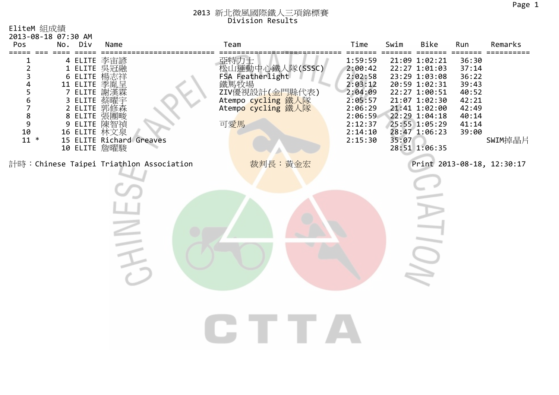| EliteM 組成績<br>2013-08-18 07:30 AM<br>Pos                                                         | Div<br>No. | Name                                                                                                                                                                                             |                                         | Team                                                                                                                     | Time                                                                                                                  | Swim  | Bike                                                                                                                                                                                    | Run                                                                                    | Remarks                    |
|--------------------------------------------------------------------------------------------------|------------|--------------------------------------------------------------------------------------------------------------------------------------------------------------------------------------------------|-----------------------------------------|--------------------------------------------------------------------------------------------------------------------------|-----------------------------------------------------------------------------------------------------------------------|-------|-----------------------------------------------------------------------------------------------------------------------------------------------------------------------------------------|----------------------------------------------------------------------------------------|----------------------------|
| $\overline{2}$<br>3<br>4<br>5<br>6<br>7<br>$\begin{array}{c} 8 \\ 9 \end{array}$<br>10<br>$11 *$ |            | 4 ELITE 李宙諺<br>1 ELITE 吳冠融<br>6 ELITE 楊志祥<br>11 ELITE 季胤呈<br>7 ELITE 謝漢霖<br>3 ELITE 蔡曜宇<br>2 ELITE 郭修森<br>8 ELITE 張團畯<br>9 ELITE 陳智禎<br>16 ELITE 林文泉<br>15 ELITE Richard Greaves<br>10 ELITE 詹曜駿 |                                         | 亞特力士<br>松山運動中心鐵人隊(SSSC)<br>FSA_Featherlight<br>鐵馬牧場<br>ZIV優視設計(金門縣代表)<br>Atempo cycling 鐵人隊<br>Atempo cycling 鐵人隊<br>可愛馬 | 1:59:59<br>2:00:42<br>2:02:58<br>2:03:12<br>2:04:09<br>2:05:57<br>2:06:29<br>2:06:59<br>2:12:37<br>2:14:10<br>2:15:30 | 35:07 | 21:09 1:02:21<br>22:27 1:01:03<br>23:29 1:03:08<br>20:59 1:02:31<br>22:27 1:00:51<br>21:07 1:02:30<br>21:41 1:02:00<br>22:29 1:04:18<br>25:55 1:05:29<br>28:47 1:06:23<br>28:51 1:06:35 | 36:30<br>37:14<br>36:22<br>39:43<br>40:52<br>42:21<br>42:49<br>40:14<br>41:14<br>39:00 | SWIM掉晶片                    |
|                                                                                                  |            |                                                                                                                                                                                                  | 計時:Chinese Taipei Triathlon Association | 裁判長:黃金宏                                                                                                                  |                                                                                                                       |       |                                                                                                                                                                                         |                                                                                        | Print 2013-08-18, 12:30:17 |
|                                                                                                  |            |                                                                                                                                                                                                  |                                         |                                                                                                                          |                                                                                                                       |       |                                                                                                                                                                                         |                                                                                        |                            |
|                                                                                                  |            |                                                                                                                                                                                                  |                                         |                                                                                                                          |                                                                                                                       |       |                                                                                                                                                                                         |                                                                                        |                            |
|                                                                                                  |            |                                                                                                                                                                                                  |                                         |                                                                                                                          |                                                                                                                       |       |                                                                                                                                                                                         |                                                                                        |                            |
|                                                                                                  |            |                                                                                                                                                                                                  |                                         |                                                                                                                          |                                                                                                                       |       |                                                                                                                                                                                         |                                                                                        |                            |
|                                                                                                  |            |                                                                                                                                                                                                  |                                         |                                                                                                                          |                                                                                                                       |       |                                                                                                                                                                                         |                                                                                        |                            |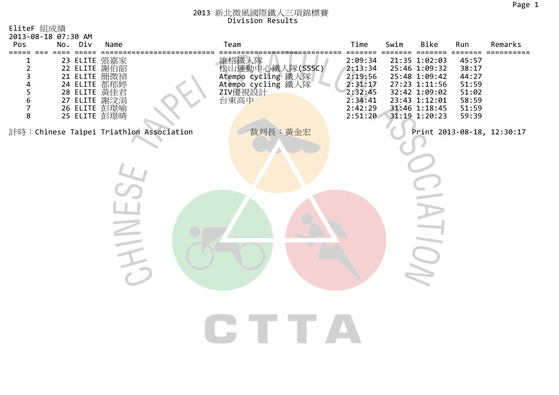| EliteF 組成績<br>2013-08-18 07:30 AM<br>Pos                                          |          | No. Div         | Name                                                                                                                         | Team |                                                                                         | Time                                                                                 | Swim | Bike                                                                                                                                 | Run                                                                  | Remarks                    |
|-----------------------------------------------------------------------------------|----------|-----------------|------------------------------------------------------------------------------------------------------------------------------|------|-----------------------------------------------------------------------------------------|--------------------------------------------------------------------------------------|------|--------------------------------------------------------------------------------------------------------------------------------------|----------------------------------------------------------------------|----------------------------|
| =====<br>$\overline{2}$<br>3<br>4<br>5<br>$\boldsymbol{6}$<br>$\overline{7}$<br>8 | === ==== | $=$ $=$ $=$ $=$ | 23 ELITE 張嘉家<br>22 ELITE 謝伯韶<br>21 ELITE 簡微禎<br>24 ELITE 都郁婷<br>28 ELITE 黃佳君<br>27 ELITE 謝汶涓<br>26 ELITE 彭璟喻<br>25 ELITE 彭璟晴 |      | 維格鐵人隊<br>松山運動中心鐵人隊(SSSC)<br>Atempo cycling 鐵人隊<br>Atempo cycling 鐵人隊<br>ZIV優視設計<br>台東高中 | 2:09:34<br>2:13:34<br>2:19:56<br>2:31:17<br>2:32:45<br>2:34:41<br>2:42:29<br>2:51:20 |      | 21:35 1:02:03<br>25:46 1:09:32<br>25:48 1:09:42<br>27:23 1:11:56<br>32:42 1:09:02<br>23:43 1:12:01<br>31:46 1:18:45<br>31:19 1:20:23 | 45:57<br>38:17<br>44:27<br>51:59<br>51:02<br>58:59<br>51:59<br>59:39 | ==========                 |
|                                                                                   |          |                 | 計時:Chinese Taipei Triathlon Association                                                                                      |      | 裁判長:黃金宏                                                                                 |                                                                                      |      |                                                                                                                                      |                                                                      | Print 2013-08-18, 12:30:17 |
|                                                                                   |          |                 |                                                                                                                              |      |                                                                                         |                                                                                      |      |                                                                                                                                      |                                                                      |                            |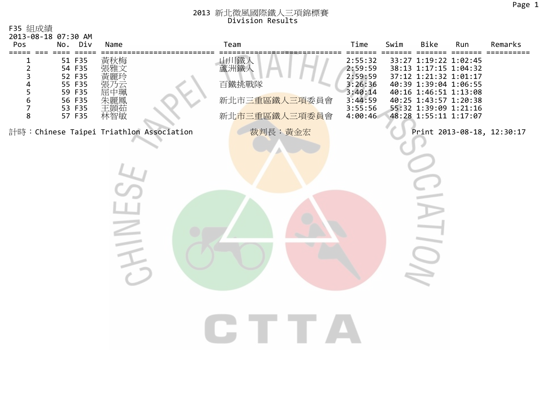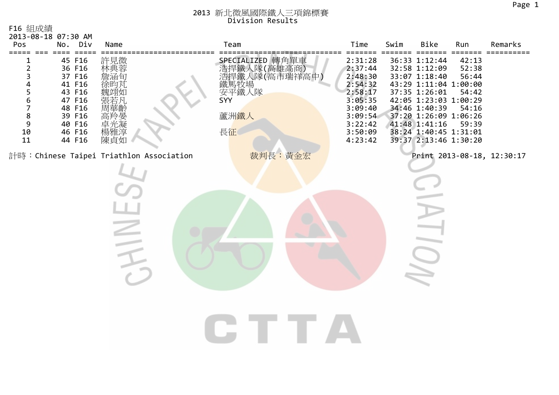| F16 組成績<br>2013-08-18 07:30 AM<br>Pos                                                  |     | No. Div                                                                                                    | Name                                                          | Team                                                                                                            | Time                                                                                                                  | Swim | Bike                                                                                                                                                                                                                            | Run                                                | Remarks                    |
|----------------------------------------------------------------------------------------|-----|------------------------------------------------------------------------------------------------------------|---------------------------------------------------------------|-----------------------------------------------------------------------------------------------------------------|-----------------------------------------------------------------------------------------------------------------------|------|---------------------------------------------------------------------------------------------------------------------------------------------------------------------------------------------------------------------------------|----------------------------------------------------|----------------------------|
| $\overline{\mathbf{c}}$<br>3<br>4<br>5<br>6<br>7<br>$\bf 8$<br>$\mathsf 9$<br>10<br>11 | === | 45 F16<br>36 F16<br>37 F16<br>41 F16<br>43 F16<br>47 F16<br>48 F16<br>39 F16<br>40 F16<br>46 F16<br>44 F16 | 許見微<br>詹涵旬<br>徐昀芃<br>魏翊如<br>張若凡<br>·周高卓楊<br>華羚光雅点<br>楊<br>陳貞如 | -----------------------------<br>SPECIALIZED 轉角單車<br>浩捍鐵人隊(高雄高商)<br>浩捍鐵人隊(高市瑞祥高中)<br>安平鐵人隊<br>SYY<br>蘆洲鐵人<br>長征 | 2:31:28<br>2:37:44<br>2:48:30<br>2:54:32<br>2:58:17<br>3:05:35<br>3:09:40<br>3:09:54<br>3:22:42<br>3:50:09<br>4:23:42 |      | 36:33 1:12:44<br>32:58 1:12:09<br>33:07 1:18:40<br>43:29 1:11:04 1:00:00<br>37:35 1:26:01<br>42:05 1:23:03 1:00:29<br>34:46 1:40:39<br>37:20 1:26:09 1:06:26<br>41:48 1:41:16<br>38:24 1:40:45 1:31:01<br>39:37 2:13:46 1:30:20 | 42:13<br>52:38<br>56:44<br>54:42<br>54:16<br>59:39 | $=$ $=$ $=$ $=$            |
|                                                                                        |     |                                                                                                            | 計時: Chinese Taipei Triathlon Association<br>$\leq$            | 裁判長:黃金宏                                                                                                         |                                                                                                                       |      |                                                                                                                                                                                                                                 |                                                    | Print 2013-08-18, 12:30:17 |
|                                                                                        |     |                                                                                                            |                                                               |                                                                                                                 |                                                                                                                       |      |                                                                                                                                                                                                                                 |                                                    |                            |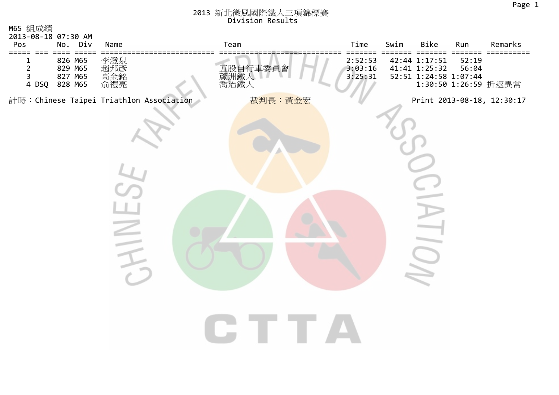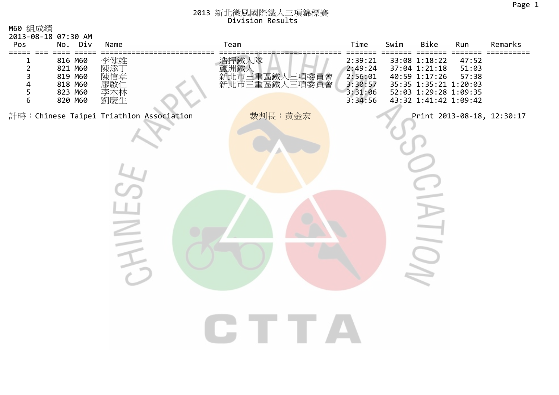| M60 組成績<br>2013-08-18 07:30 AM<br>Pos                               |                 | No. Div                                                        | Name                                    | Team                                                       | Time                                                           | Swim | Bike                                                                                                                              | Run                     | Remarks                    |
|---------------------------------------------------------------------|-----------------|----------------------------------------------------------------|-----------------------------------------|------------------------------------------------------------|----------------------------------------------------------------|------|-----------------------------------------------------------------------------------------------------------------------------------|-------------------------|----------------------------|
| ====<br>===<br>T<br>$\overline{2}$<br>3<br>4<br>5<br>$6\phantom{1}$ | $=$ $=$ $=$ $=$ | 816 M60<br>821 M60<br>819 M60<br>818 M60<br>823 M60<br>820 M60 | 李健雄<br>陳添<br>陳信章<br>廖啟<br>李木林<br>劉慶生    | 浩捍鐵人隊<br>蘆洲鐵人<br>蘆洲鐵人<br>新北市三重區鐵人三項委員會<br>新北市三重區鐵<br>三項委員會 | 2:39:21<br>2:49:24<br>2:56:01<br>3:30:57<br>3:31:06<br>3:34:56 |      | ===<br>33:08 1:18:22<br>37:04 1:21:18<br>40:59 1:17:26<br>35:35 1:35:21 1:20:03<br>52:03 1:29:28 1:09:35<br>43:32 1:41:42 1:09:42 | 47:52<br>51:03<br>57:38 |                            |
|                                                                     |                 |                                                                | 計時:Chinese Taipei Triathlon Association | 裁判長:黃金宏                                                    |                                                                |      |                                                                                                                                   |                         | Print 2013-08-18, 12:30:17 |
|                                                                     |                 |                                                                |                                         |                                                            |                                                                |      |                                                                                                                                   |                         |                            |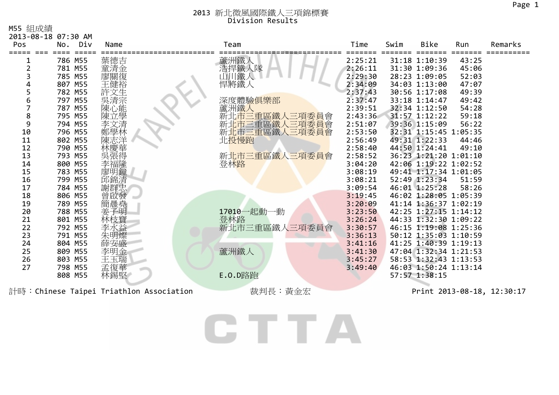M55 組成績

| Pos | 2013-08-18 07:30 AM<br>Div<br>No. | Name                                     | Team              | Time    | Swim | Bike                  | Run   | Remarks                    |
|-----|-----------------------------------|------------------------------------------|-------------------|---------|------|-----------------------|-------|----------------------------|
|     |                                   |                                          |                   |         |      |                       |       |                            |
|     | 786 M55                           | 葉德吉                                      | 蘆洲鐵人              | 2:25:21 |      | 31:18 1:10:39         | 43:25 |                            |
|     | 781 M55                           | 童清金                                      | 浩捍鐵人隊             | 2:26:11 |      | 31:30 1:09:36         | 45:06 |                            |
|     | 785 M55                           | 廖關復                                      | 「 鐵人              | 2:29:30 |      | 28:23 1:09:05         | 52:03 |                            |
|     | 807 M55                           |                                          | 悍將鐵人              | 2:34:09 |      | 34:03 1:13:00         | 47:07 |                            |
| 5   | 782 M55                           | 文生                                       |                   | 2:37:43 |      | 30:56 1:17:08         | 49:39 |                            |
| 6   | 797 M55                           | :吳清心學<br>陳<br>陳<br>陳<br>                 | 深度體驗俱樂部           | 2:37:47 |      | 33:18 1:14:47         | 49:42 |                            |
|     | 787 M55                           |                                          | 蘆洲鐵人              | 2:39:51 |      | 32:34 1:12:50         | 54:28 |                            |
| 8   | 795 M55                           |                                          | 新北市三重區鐵人三項委員會     | 2:43:36 |      | 31:57 1:12:22         | 59:18 |                            |
| 9   | 794 M55                           | 李文清                                      | 新北市三重區鐵人<br>三項委員會 | 2:51:07 |      | 39:36 1:15:09         | 56:22 |                            |
| 10  | 796 M55                           | 鄭學林                                      | 新北市三重區鐵人三項委員會     | 2:53:50 |      | 32:31 1:15:45 1:05:35 |       |                            |
| 11  | 802 M55                           |                                          | 北投慢跑              | 2:56:49 |      | 49:31 1:22:33         | 44:46 |                            |
| 12  | 790 M55                           |                                          |                   | 2:58:40 |      | 44:50 1:24:41         | 49:10 |                            |
| 13  | 793 M55                           |                                          | 新北市三重區鐵人三項委員會     | 2:58:52 |      | 36:23 1:21:20 1:01:10 |       |                            |
| 14  | 800 M55                           | 李福隆                                      | 登林路               | 3:04:20 |      | 42:06 1:19:22 1:02:52 |       |                            |
| 15  | 783 M55                           | 廖明鐘                                      |                   | 3:08:19 |      | 49:41 1:17:34 1:01:05 |       |                            |
| 16  | 799 M55                           | 邱錦清                                      |                   | 3:08:21 |      | 52:49 1:23:34         | 51:59 |                            |
| 17  | 784 M55                           | 謝群忠                                      |                   | 3:09:54 |      | 46:01 1:25:28         | 58:26 |                            |
| 18  | 806 M55                           | 啟發                                       |                   | 3:19:45 |      | 46:02 1:28:05 1:05:39 |       |                            |
| 19  | 789 M55                           | 簡晨堯                                      |                   | 3:20:09 |      | 41:14 1:36:37 1:02:19 |       |                            |
| 20  | 788 M55                           | 子明                                       | 17010一起動<br>一動    | 3:23:50 |      | 42:25 1:27:15 1:14:12 |       |                            |
| 21  | 801 M55                           | 林枝寶                                      | 登林路               | 3:26:24 |      | 44:33 1:32:30 1:09:22 |       |                            |
| 22  | 792 M55                           | 李水益                                      | 新北市三重區鐵人三項委員會     | 3:30:57 |      | 46:15 1:19:08 1:25:36 |       |                            |
| 23  | 791 M55                           | 朱明燦                                      |                   | 3:36:13 |      | 50:12 1:35:03 1:10:59 |       |                            |
| 24  | 804 M55                           | 薛安盛                                      |                   | 3:41:16 |      | 41:25 1:40:39 1:19:13 |       |                            |
| 25  | 809 M55                           | 李明金                                      | 蘆洲鐵人              | 3:41:30 |      | 47:04 1:32:34 1:21:53 |       |                            |
| 26  | 803 M55                           | 王玉瑞                                      |                   | 3:45:27 |      | 58:53 1:32:43 1:13:53 |       |                            |
| 27  | 798 M55                           | 孟復華                                      |                   | 3:49:40 |      | 46:03 1:50:24 1:13:14 |       |                            |
|     | 808 M55                           | 林錫堅                                      | <b>E.O.D</b> 路跑   |         |      | 57:57 1:38:15         |       |                            |
|     |                                   | 計時: Chinese Taipei Triathlon Association | 裁判長:黃金宏           |         |      |                       |       | Print 2013-08-18, 12:30:17 |

CTTA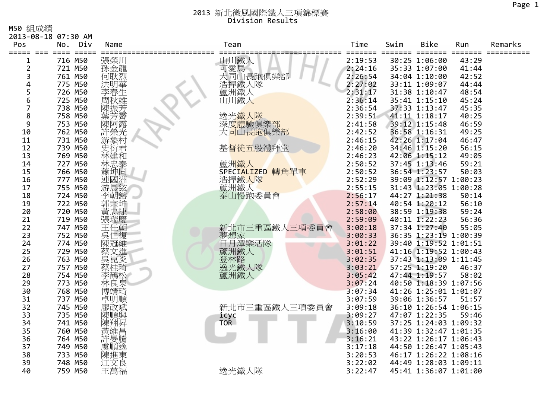M50 組成績

| □つ∪ 忍虫/火ぶ貝 | 2013-08-18 07:30 AM      |             |                                   |         |      |                       |        |         |
|------------|--------------------------|-------------|-----------------------------------|---------|------|-----------------------|--------|---------|
| Pos        | No.<br>Div               | Name        | Team                              | Time    | Swim | <b>Bike</b>           | Run    | Remarks |
| ===== ===  | =====<br>$=$ $=$ $=$ $=$ |             |                                   | ====    | $==$ | ====                  | ====== |         |
|            | 716 M50                  | 張榮川         |                                   | 2:19:53 |      | 30:25 1:06:00         | 43:29  |         |
| 2          | 721 M50                  | 孫金龍         | 山川鐵人<br>可愛馬                       | 2:24:16 |      | 35:33 1:07:00         | 41:44  |         |
| 3          | 761 M50                  | 何耿烈         | 大同山長跑俱樂部                          | 2:26:54 |      | 34:04 1:10:00         | 42:52  |         |
| 4          | 775 M50                  | 洪明華         | 浩捍鐵人隊                             | 2:27:02 |      | 33:11 1:09:07         | 44:44  |         |
| 5          | 726 M50                  | 李春生         | 蘆洲鐵人                              | 2:31:17 |      | 31:38 1:10:47         | 48:54  |         |
| 6          | 725 M50                  | 周秋雄         | 山川鐵人                              | 2:36:14 |      | 35:41 1:15:10         | 45:24  |         |
| 7          | 738 M50                  | 陳振芳         |                                   | 2:36:54 |      | 37:33 1:13:47         | 45:35  |         |
| 8          | 758 M50                  |             | 逸光鐵人隊                             | 2:39:51 |      | 41:11 1:18:17         | 40:25  |         |
| 9          | 753 M50                  | 葉芳霽<br>陳阿露  |                                   | 2:41:58 |      | 39:12 1:15:48         | 46:59  |         |
| 10         | 762 M50                  |             | 深度體驗俱樂部<br>大 <mark>同山長跑俱樂部</mark> | 2:42:52 |      | 36:58 1:16:31         | 49:25  |         |
| 11         | 731 M50                  | 許榮光<br>游象村  |                                   | 2:46:15 |      | 42:26 1:17:04         | 46:47  |         |
| 12         | 739 M50                  | 英衍君         | 基督徒五股禮拜堂                          | 2:46:20 |      | 34:46 1:15:20         | 56:15  |         |
| 13         | 769 M50                  | 林建和         |                                   | 2:46:23 |      | 42:06 1:15:12         | 49:05  |         |
| 14         | 727 M50                  |             | 蘆洲鐵人                              | 2:50:52 |      | 37:45 1:13:46         | 59:21  |         |
| 15         | 766 M50                  | ·林忠泰<br>蕭坤同 | SPECIALIZED 轉角單車                  | 2:50:52 |      | 36:54 1:23:57         | 50:03  |         |
| 16         | 777 M50                  | 連國洲         |                                   | 2:52:29 |      | 39:09 1:12:57 1:00:23 |        |         |
| 17         | 755 M50                  | 游晨絃         |                                   | 2:55:15 |      | 31:43 1:23:05 1:00:28 |        |         |
| 18         | 724 M50                  | 李朝鎔         | 浩捍鐵人隊<br>蘆洲鐵人<br>泰山慢跑委員會          | 2:56:17 |      | 44:27 1:21:38         | 50:14  |         |
| 19         | 722 M50                  | 郭宗坤         |                                   | 2:57:14 |      | 40:54 1:20:12         | 56:10  |         |
| 20         | 720 M50                  |             |                                   | 2:58:00 |      | 38:59 1:19:38         | 59:24  |         |
| 21         | 719 M50                  | 張瑞慶         |                                   | 2:59:09 |      | 40:11 1:22:23         | 56:36  |         |
| 22         | 747 M50                  | 王任朝         | 新北市三重區鐵人三項委員會                     | 3:00:18 |      | 37:34 1:27:40         | 55:05  |         |
| 23         | 752 M50                  | 吳仁復         |                                   | 3:00:33 |      | 36:35 1:23:19 1:00:39 |        |         |
| 24         | 774 M50                  | 陳冠維         | 夢想家<br>日月潭樂活隊<br>日月潭樂活隊           | 3:01:22 |      | 39:40 1:19:52 1:01:51 |        |         |
| 25         | 729 M50                  |             | 蘆洲鐵人                              | 3:01:51 |      | 41:16 1:19:52 1:00:43 |        |         |
| 26         | 763 M50                  | 蔡文進炎        | 登林路                               | 3:02:35 |      | 37:43 1:13:09 1:11:45 |        |         |
| 27         | 757 M50                  | 蔡桂琦         | 逸光鐵人隊                             | 3:03:21 |      | 57:25 1:19:20         | 46:37  |         |
| 28         | 754 M50                  | 李鶴松         | 蘆洲鐵人                              | 3:05:42 |      | 47:44 1:19:57         | 58:02  |         |
| 29         | 773 M50                  | 林良泉         |                                   | 3:07:24 |      | 40:50 1:18:39 1:07:56 |        |         |
| 30         | 768 M50                  | 博靖琦         |                                   | 3:07:34 |      | 41:26 1:25:01 1:01:07 |        |         |
| 31         | 737 M50                  | 卓明順         |                                   | 3:07:59 |      | 39:06 1:36:57         | 51:57  |         |
| 32         | 745 M50                  | 廖政斌         | 新北市三重區鐵人三項委員會                     | 3:09:18 |      | 36:10 1:26:54 1:06:15 |        |         |
| 33         | 735 M50                  | 陳順興         | icyc                              | 3:09:27 |      | 47:07 1:22:35         | 59:46  |         |
| 34         | 741 M50                  | 陳翔昇         | <b>TOR</b>                        | 3:10:59 |      | 37:25 1:24:03 1:09:32 |        |         |
| 35         | 760 M50                  | 黃維昌         |                                   | 3:16:00 |      | 41:39 1:32:47 1:01:35 |        |         |
| 36         | 764 M50                  |             |                                   | 3:16:21 |      | 43:22 1:26:17 1:06:43 |        |         |
| 37         | 749 M50                  | 許晏騰逸        |                                   | 3:17:18 |      | 44:50 1:26:47 1:05:43 |        |         |
| 38         | 733 M50                  | 陳進東         |                                   | 3:20:53 |      | 46:17 1:26:22 1:08:16 |        |         |
| 39         | 748 M50                  | 江文良         |                                   | 3:22:02 |      | 44:49 1:28:03 1:09:11 |        |         |
| 40         | 759 M50                  | 王萬福         | 逸光鐵人隊                             | 3:22:47 |      | 45:41 1:36:07 1:01:00 |        |         |
|            |                          |             |                                   |         |      |                       |        |         |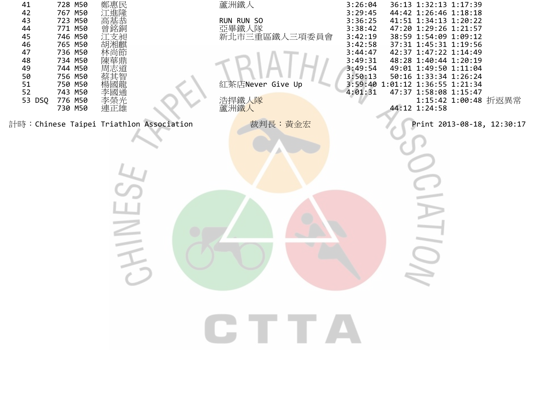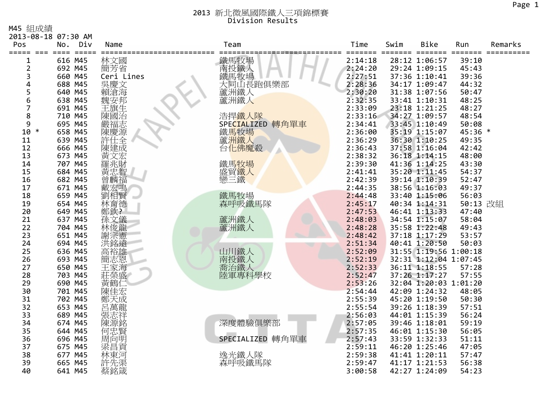M45 組成績

| M45 組成額             |                    |                        |               |                    |                    |            |                                        |                            |         |
|---------------------|--------------------|------------------------|---------------|--------------------|--------------------|------------|----------------------------------------|----------------------------|---------|
| 2013-08-18 07:30 AM |                    |                        |               |                    |                    |            |                                        |                            |         |
| Pos                 | No.<br>$=====$     | Div<br>$=$ $=$ $=$ $=$ | Name          | Team               | Time<br>===        | Swim<br>== | Bike<br>$=$ $=$<br>====                | Run<br>$=$ $=$ $=$ $=$ $:$ | Remarks |
| 1                   | 616 M45            |                        | 林文國           | 鐵馬牧場               | 2:14:18            |            | 28:12 1:06:57                          | 39:10                      |         |
| 2                   | 692 M45            |                        | 簡芳省           |                    | 2:24:20            |            | 29:24 1:09:15                          | 45:43                      |         |
| 3                   | 660 M45            |                        | Ceri Lines    |                    | 2:27:51            |            | 37:36 1:10:41                          | 39:36                      |         |
| 4                   | 688 M45            |                        |               | 鐵馬牧場<br>大同山長跑俱樂部   | 2:28:36            |            | 34:17 1:09:47                          | 44:32                      |         |
| 5                   | 640 M45            |                        | 吳慶文<br>賴滄海    | 蘆洲鐵人               | 2:30:20            |            | 31:38 1:07:56                          | 50:47                      |         |
| 6                   | 638 M45            |                        | 魏安邦           | 蘆洲鐵人               | 2:32:35            |            | 33:41 1:10:31                          | 48:25                      |         |
|                     | 691 M45            |                        | 王旗生           |                    | 2:33:09            |            | 23:18 1:21:25                          | 48:27                      |         |
| 8                   | 710 M45            |                        | 陳國治           | 浩捍鐵人隊              | 2:33:16            |            | 34:27 1:09:57                          | 48:54                      |         |
| 9                   | 695 M45            |                        | 嚴福志           | SPECIALIZED 轉角單車   | 2:34:41            |            | 33:45 1:10:49                          | 50:08                      |         |
| $10 *$              | 658 M45            |                        | 陳慶源           | 鐵馬牧場               | 2:36:00            |            | 35:19 1:15:07                          | 45:36 *                    |         |
| 11                  | 639 M45            |                        | 許仕全           | 蘆洲鐵人               | 2:36:29            |            | 36:30 1:10:25                          | 49:35                      |         |
| 12                  | 666 M45            |                        | 陳建成           | 台化佛魔殺              | 2:36:43            |            | 37:58 1:16:04                          | 42:42                      |         |
| 13                  | 673 M45            |                        | 黃文宏           |                    | 2:38:32            |            | 36:18 1:14:15                          | 48:00                      |         |
| 14                  | 707 M45            |                        |               | 鐵馬 <mark>牧場</mark> | 2:39:30            |            | 41:36 1:14:25                          | 43:30                      |         |
| 15                  | 684 M45            |                        | 黃忠智           | 盛貿鐵人               | 2:41:41            |            | 35:20 1:11:45                          | 54:37                      |         |
| 16                  | 682 M45            |                        | 曾麟福           | 戀三鐵                | 2:42:39            |            | 39:14 1:10:39                          | 52:47                      |         |
| 17                  | 671 M45            |                        | 戴宏鳴           |                    | 2:44:35            |            | 38:56 1:16:03                          | 49:37                      |         |
| 18                  | 659 M45            |                        |               | 鐵馬牧場               | 2:44:48            |            | 33:40 1:15:06                          | 56:03                      |         |
| 19                  | 654 M45            |                        | 林育德<br>鄭欽?    | 森呼吸鐵馬隊             | 2:45:17            |            | 40:34 1:14:31                          | 50:13 改組                   |         |
| 20                  | 649 M45            |                        |               |                    | 2:47:53            |            | 46:41 1:13:33                          | 47:40                      |         |
| 21                  | 637 M45            |                        | 孫文儀           | 蘆洲鐵人               | 2:48:03            |            | 34:54 1:15:07                          | 58:04                      |         |
| 22                  | 704 M45            |                        | 林俊龍           | 蘆洲鐵人               | 2:48:28            |            | 35:58 1:22:48                          | 49:43                      |         |
| 23                  | 651 M45            |                        | 謝宗憲           |                    | 2:48:42            |            | 37:18 1:17:29                          | 53:57                      |         |
| 24                  | 694 M45            |                        | 洪銘遠           |                    | 2:51:34            |            | 40:41 1:20:50<br>31:55 1:19:56 1:00:18 | 50:03                      |         |
| 25<br>26            | 636 M45<br>693 M45 |                        | 高裕雄           | 山川鐵人<br>南投鐵人       | 2:52:09<br>2:52:19 |            |                                        |                            |         |
| 27                  | 650 M45            |                        | 簡志恩           |                    | 2:52:33            |            | 32:31 1:12:04 1:07:45<br>36:11 1:18:55 | 57:28                      |         |
| 28                  | 703 M45            |                        | 王冢海           | 喬治鐵人<br>陸軍專科學校     | 2:52:47            |            | 37:26 1:17:27                          | 57:55                      |         |
| 29                  | 690 M45            |                        | 莊榮盛<br>黃鶴     |                    | 2:53:26            |            | 32:04 1:20:03 1:01:20                  |                            |         |
| 30                  | 701 M45            |                        | 陳1            |                    | 2:54:44            |            | 42:09 1:24:32                          | 48:05                      |         |
| 31                  | 702 M45            |                        |               |                    | 2:55:39            |            | 45:20 1:19:50                          | 50:30                      |         |
| 32                  | 653 M45            |                        |               |                    | 2:55:54            |            | 39:26 1:18:39                          | 57:51                      |         |
| 33                  | 689 M45            |                        | 張志祥           |                    | 2:56:03            |            | 44:01 1:15:39                          | 56:24                      |         |
| 34                  | 674 M45            |                        | 陳源銘           | 深度體驗俱樂部            | 2:57:05            |            | 39:46 1:18:01                          | 59:19                      |         |
| 35                  | 644 M45            |                        |               |                    | 2:57:35            |            | 46:01 1:15:30                          | 56:05                      |         |
| 36                  | 696 M45            |                        |               | SPECIALIZED 轉角單車   | 2:57:43            |            | 33:59 1:32:33                          | 51:11                      |         |
| 37                  | 675 M45            |                        | "何周梁!"<br>思向昌 |                    | 2:59:11            |            | 46:20 1:25:46                          | 47:05                      |         |
| 38                  | 677 M45            |                        | 林東河           | 逸光鐵人隊              | 2:59:38            |            | 41:41 1:20:11                          | 57:47                      |         |
| 39                  | 665 M45            |                        | 許先渠           | 森呼吸鐵馬隊             | 2:59:47            |            | 41:17 1:21:53                          | 56:38                      |         |
| 40                  | 641 M45            |                        | 蔡銘箴           |                    | 3:00:58            |            | 42:27 1:24:09                          | 54:23                      |         |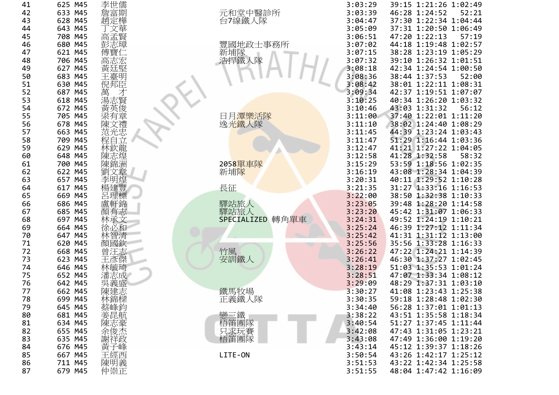| 41       | 625 M45 | 李世儒          |                     | 3:03:29 | 39:15 1:21:26 1:02:49                          |
|----------|---------|--------------|---------------------|---------|------------------------------------------------|
| 42       | 633 M45 | 詹富期          |                     | 3:03:39 | 46:28 1:24:52<br>52:21                         |
| 43       | 628 M45 | 趙定樺          | 元和堂中醫診所<br>台7線鐵人隊   | 3:04:47 | 37:30 1:22:34 1:04:44                          |
| 44       | 643 M45 |              |                     | 3:05:09 | 37:31 1:20:50 1:06:49                          |
| 45       | 708 M45 | 高孟賢          |                     | 3:06:51 | 47:20 1:22:13<br>57:19                         |
| 46       | 680 M45 | 彭志璋          | 豐國地政士事務所            | 3:07:02 | 44:18 1:19:48 1:02:57                          |
| 47       | 621 M45 | 傅寶           | 新埔隊<br>浩捍鐵人隊        | 3:07:15 | 38:28 1:23:19 1:05:29                          |
| 48       | 706 M45 | 高志宏          |                     | 3:07:32 | 39:10 1:26:32 1:01:51                          |
| 49       | 627 M45 | 黃廷堅          |                     | 3:08:18 | 42:34 1:24:54 1:00:50                          |
| 50       | 683 M45 | 王臺明          |                     | 3:08:36 | 38:44 1:37:53<br>52:00                         |
| 51       | 630 M45 | 倪邦臣          |                     | 3:08:42 | 38:01 1:22:11 1:08:31                          |
| 52       | 687 M45 | 萬<br>湯志賢     |                     | 3:09:34 | 42:37 1:19:51 1:07:07                          |
| 53       | 618 M45 |              |                     | 3:10:25 | 40:34 1:26:20 1:03:32                          |
| 54       | 672 M45 | 黃英俊          |                     | 3:10:46 | 43:03 1:31:32<br>56:12                         |
| 55       | 705 M45 |              | 日月潭樂活隊              | 3:11:00 | 37:40 1:22:01 1:11:20                          |
| 56       | 678 M45 | 梁有章<br>陳文禮   | 逸光鐵人隊               | 3:11:10 | 38:02 1:24:40 1:08:29                          |
| 57       | 663 M45 | 范光忠          |                     | 3:11:45 | 44:39 1:23:24 1:03:43                          |
| 58       | 709 M45 | 程自立          |                     | 3:11:47 | 51:29 1:16:44 1:03:36                          |
| 59       | 629 M45 | 林欽龍          |                     | 3:12:47 | 41:21 1:27:22 1:04:05                          |
| 60       | 648 M45 | 陳志煌          |                     | 3:12:58 | 41:28 1:32:58<br>58:32                         |
| 61       | 700 M45 | 陳錦洲          | 2058單車隊             | 3:15:29 | 53:59 1:18:56 1:02:35                          |
| 62       | 622 M45 | 劉文章          | 新埔隊                 | 3:16:19 | 43:08 1:28:34 1:04:39                          |
| 63       | 657 M45 | 李明煌          |                     | 3:20:31 | 40:11 1:29:52 1:10:28                          |
| 64       | 617 M45 | 楊建豐          | 長征                  | 3:21:35 | 31:27 1:33:16 1:16:53                          |
| 65       | 669 M45 | 呂理標          |                     | 3:22:00 | 38:50 1:32:38 1:10:33                          |
| 66       | 686 M45 | 盧軒錦          | 驛站旅人                | 3:23:05 | 39:48 1:28:20 1:14:58                          |
| 67       | 685 M45 | 顏有志          | 驛站旅人                | 3:23:20 | 45:42 1:31:07 1:06:33                          |
| 68       | 697 M45 | 林承文          | SPECIALIZED<br>轉角單車 | 3:24:31 | 49:52 1:24:19 1:10:21                          |
| 69       | 664 M45 | 徐必和          |                     | 3:25:24 | 46:39 1:27:12 1:11:34                          |
| 70       | 647 M45 | 林智清          |                     | 3:25:42 | 41:31 1:31:12 1:13:00                          |
| 71       | 620 M45 | 顏國欽          |                     | 3:25:56 | 35:56 1:33:28 1:16:33                          |
| 72       | 668 M45 | 曾汪志          | 竹風                  | 3:26:22 | 47:22 1:24:21 1:14:39                          |
| 73       | 623 M45 | 王彥傑          | 安訓鐵人                | 3:26:41 | 46:30 1:37:27 1:02:45                          |
| 74       | 646 M45 | 林毓琦          |                     | 3:28:19 | 51:03 1:35:53 1:01:24                          |
| 75       | 652 M45 | 潘志成          |                     | 3:28:51 | 47:07 1:33:34 1:08:12                          |
| 76       | 642 M45 |              |                     | 3:29:09 | 48:29 1:37:31 1:03:10                          |
| 77       | 662 M45 | 陳建志          | 鐵馬牧場                | 3:30:27 | 41:08 1:23:43 1:25:38                          |
| 78       | 699 M45 | "林蔡美"<br>蔡峰昆 | 正義鐵人隊               | 3:30:35 | 59:18 1:28:48 1:02:30                          |
| 79       | 645 M45 |              |                     | 3:34:40 | 56:28 1:37:01 1:01:13                          |
| 80       | 681 M45 |              | 戀三鐵                 | 3:38:22 | 43:51 1:35:58 1:18:34                          |
| 81       | 634 M45 | 陳志豪          | 梧笛團隊                | 3:40:54 | 51:27 1:37:45 1:11:44                          |
| 82       | 655 M45 |              | 只求玩賽<br>梧笛團隊        | 3:42:08 | 47:43 1:31:05 1:23:21                          |
| 83       | 635 M45 | 謝祥政          |                     | 3:43:08 | 47:49 1:36:00 1:19:20                          |
| 84<br>85 | 676 M45 | 黃子峰          |                     | 3:43:14 | 45:12 1:39:37 1:18:26<br>43:26 1:42:17 1:25:12 |
|          | 667 M45 | 王經西          | LITE-ON             | 3:50:54 | 43:22 1:42:34 1:25:58                          |
| 86<br>87 | 711 M45 | 陳明義<br>仲崇正   |                     | 3:51:53 |                                                |
|          | 679 M45 |              |                     | 3:51:55 | 48:04 1:47:42 1:16:09                          |

| 3:03:29            | 39:15          | 1:21:26                 | 1:02:49                            |
|--------------------|----------------|-------------------------|------------------------------------|
| 3:03:39            | 46:28          | 1:24:52                 | 52:21                              |
| 3:04:47            | 37:30          | 1:22:34                 | 1:04:44                            |
| 3:05:09            | 37:31          | 1:20:50                 | 1:06:49                            |
| 3:06:51            | 47:20          | 1:22:13                 | 57:19                              |
| 3:07:02            | 44:18          | 1:19:48                 | 1:02:57                            |
| 3:07:15            | 38:28          | 1:23:19                 | 1:05:29                            |
| 3:07:32            | 39:10          | 1:26:32                 | 1:01:51                            |
| 3:08:18            | 42:34          | 1:24:54                 | 1:00:50                            |
| 3:08:36            | 38:44          | 1:37:53                 | 52:00                              |
| 3:08:42            | 38:01          | 1:22:11                 | 1:08:31                            |
| 3:09:34            | 42:37          | 1:19:51                 | 1:07:07                            |
| 3:10:25            | 40:34          | 1:26:20                 | 1:03:32                            |
| 3:10:46            | 43:03          | 1:31:32                 | 56:12                              |
| 3:11:00            | 37:40          | 1:22:01                 | 1:11:20                            |
| 3:11:10            | 38:02          | 1:24:40                 | 1:08:29                            |
| 3:11:45            | 44:39          | 1:23:24                 | 1:03:43                            |
| 3:11:47            | 51:29          | 1:16:44                 | 1:03:36                            |
| 3:12:47            | 41:21          | 1:27:22                 | 1:04:05                            |
| 3:12:58            | 41:28          | 1:32:58                 | 58:32                              |
| 3:15:29            | 53:59          | 1:18:56                 | 1:02:35                            |
| 3:16:19            | 43:08          | 1:28:34                 | 1:04:39                            |
| 3:20:31            | 40:11          | 1:29:52                 | 1:10:28                            |
| 3:21:35            | 31:27          | 1:33:16                 | 1:16:53                            |
| 3:22:00            | 38:50          | 1:32:38                 | 1:10:33                            |
| 3:23:05            | 39:48          | 1:28:20                 | 1:14:58                            |
| 3:23:20            | 45:42          | 1:31:07                 | 1:06:33                            |
| 3:24:31            | 49:52          | 1:24:19                 | 1:10:21                            |
| 3:25:24            | 46:39          | 1:27:12                 | 1:11:34                            |
| 3:25:42            | 41:31          | 1:31:12                 | 1:13:00                            |
| 3:25:56            | 35:56          | 1:33:28                 | 1:16:33                            |
| 3:26:22            | 47:22          | 1:24:21                 | 1:14:39                            |
| 3:26:41            | 46:30          | 1:37:27                 | 1:02:45                            |
| 3:28:19            | 51:03          | 1:35:53                 | 1:01:24                            |
| 3:28:51            | 47:07          | 1:33:34                 | 1:08:12                            |
| 3:29:09            | 48:29          | 1:37:31                 | 1:03:10                            |
| 3:30:27            | 41:08          | 1:23:43                 | 1:25:38                            |
| 3:30:35            |                | 59:18 1:28:48           | 1:02:30                            |
| 3:34:40            |                | 56:28 1:37:01 1:01:13   |                                    |
| 3:38:22            |                | 43:51 1:35:58 1:18:34   |                                    |
| 3:40:54            | 51:27          |                         | 1:37:45 1:11:44                    |
| 3:42:08            | 47:43          |                         | 1:31:05 1:23:21<br>1:36:00 1:19:20 |
| 3:43:08            | 47:49<br>45:12 |                         | 1:39:37 1:18:26                    |
| 3:43:14<br>3:50:54 |                | 43:26 1:42:17 1:25:12   |                                    |
| 3:51:53            |                | $43:22$ 1:42:34 1:25:58 |                                    |
| 3:51:55            |                | 48:04 1:47:42 1:16:09   |                                    |
|                    |                |                         |                                    |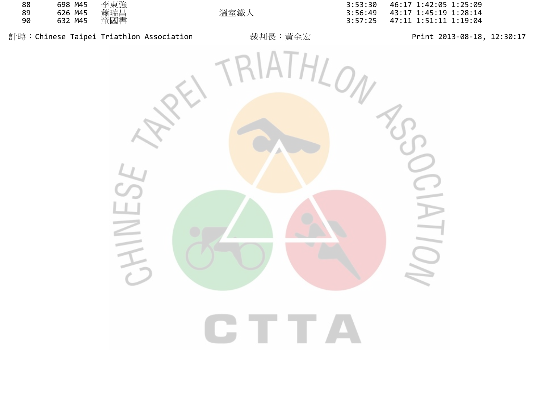| 88 | 698 M45 | 李東強 |
|----|---------|-----|
| 89 | 626 M45 | 蕭瑞昌 |
| 90 | 632 M45 | 童國書 |

計時:Chinese Taipei Triathlon Association 裁判長:黃金宏 Print <sup>2013</sup>‐08‐18, 12:30:17

 <sup>698</sup> M45 李東強 3:53:30 46:17 1:42:05 1:25:09 43:17 1:45:19 1:28:14 <sup>632</sup> M45 童國書 3:57:25 47:11 1:51:11 1:19:04

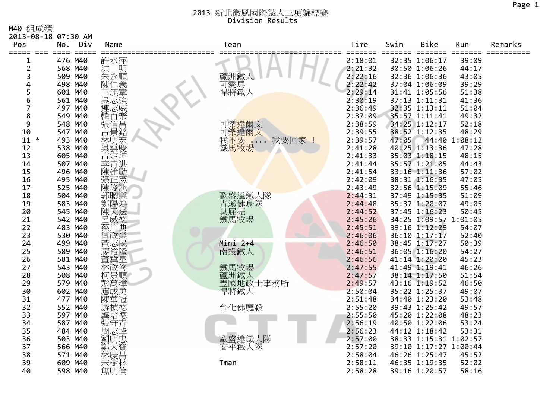M40 組成績

|                     | 2013-08-18 07:30 AM |                     |              |         |       |                       |               |         |
|---------------------|---------------------|---------------------|--------------|---------|-------|-----------------------|---------------|---------|
| Pos                 | Div<br>No.          | Name                | Team         | Time    | Swim  | <b>Bike</b>           | Run           | Remarks |
| ===== === ====      | $=====$<br>476 M40  |                     |              | 2:18:01 |       | ===<br>32:35 1:06:17  | ニニニニ<br>39:09 |         |
| 1<br>$\overline{2}$ | 568 M40             | 許水萍<br>洪<br>明       |              | 2:21:32 |       | 30:50 1:06:26         | 44:17         |         |
| 3                   | 509 M40             | 朱永順                 | 蘆洲鐵          | 2:22:16 |       | 32:36 1:06:36         | 43:05         |         |
| 4                   | 498 M40             |                     |              | 2:22:42 |       | 37:04 1:06:09         | 39:29         |         |
| 5                   | 601 M40             | 陳<br>二義<br>王漢章      | 可愛馬<br>悍將鐵人  | 2:29:14 |       | 31:41 1:05:56         | 51:38         |         |
| 6                   | 561 M40             | 冥志強                 |              | 2:30:19 |       | 37:13 1:11:31         | 41:36         |         |
| 7                   | 497 M40             | 連志威                 |              | 2:36:49 |       | 32:35 1:13:11         | 51:04         |         |
| 8                   | 549 M40             |                     |              | 2:37:09 |       | 35:57 1:11:41         | 49:32         |         |
| 9                   | 548 M40             | 韓張古信景               | 可樂達爾文        | 2:38:59 |       | 34:25 1:12:17         | 52:18         |         |
| 10                  | 547 M40             |                     | 可樂達爾文        | 2:39:55 |       | 38:52 1:12:35         | 48:29         |         |
| $\ast$<br>11        | 493 M40             |                     | 我不要<br>我要回家  | 2:39:57 | 47:05 |                       | 44:40 1:08:12 |         |
| 12                  | 538 M40             | 林呉吉 <br> 桃子 <br> 神雲 | 鐵馬牧場         | 2:41:28 |       | 40:25 1:13:36         | 47:28         |         |
| 13                  | 605 M40             |                     |              | 2:41:33 |       | 35:03 1:18:15         | 48:15         |         |
| 14                  | 507 M40             | 李青洪                 |              | 2:41:44 |       | 35:57 1:21:05         | 44:43         |         |
| 15                  | 496 M40             | 陳建勛                 |              | 2:41:54 |       | 33:16 1:11:36         | 57:02         |         |
| 16                  | 495 M40             | 張正憲                 |              | 2:42:09 |       | 38:31 1:16:35         | 47:05         |         |
| 17                  | 525 M40             | 陳俊池                 |              | 2:43:49 |       | 32:56 1:15:09         | 55:46         |         |
| 18                  | 504 M40             | 郭聰榮                 | 歐盛達鐵人隊       | 2:44:31 |       | 37:49 1:15:35         | 51:09         |         |
| 19                  | 583 M40             | 鄭陽鴻                 |              | 2:44:48 |       | 35:37 1:20:07         | 49:05         |         |
| 20                  | 545 M40             | 陳天送                 | 青溪健身隊<br>臭屁亮 | 2:44:52 |       | 37:45 1:16:23         | 50:45         |         |
| 21                  | 542 M40             |                     | 鐵馬牧場         | 2:45:26 |       | 34:25 1:09:57 1:01:05 |               |         |
| 22                  | 483 M40             | 呂威德<br>蔡川典          |              | 2:45:51 |       | 39:16 1:12:29         | 54:07         |         |
| 23                  | 530 M40             | 傅政榮                 |              | 2:46:06 |       | 36:10 1:17:17         | 52:40         |         |
| 24                  | 499 M40             | 黃志民                 | Mini 2+4     | 2:46:50 |       | 38:45 1:17:27         | 50:39         |         |
| 25                  | 589 M40             |                     | 南投鐵人         | 2:46:51 |       | 36:05 1:16:20         | 54:27         |         |
| 26                  | 581 M40             | 廖裕隆<br>董冀星          |              | 2:46:56 |       | 41:14 1:20:20         | 45:23         |         |
| 27                  | 543 M40             | 林政佟                 | 鐵馬牧場         | 2:47:55 |       | 41:49 1:19:41         | 46:26         |         |
| 28                  | 508 M40             | 柯景順                 | 蘆洲鐵人         | 2:47:57 |       | 38:14 1:17:50         | 51:54         |         |
| 29                  | 579 M40             | 彭萬璋                 | 豐國地政士事務所     | 2:49:57 |       | 43:16 1:19:52         | 46:50         |         |
| 30                  | 602 M40             | 應成勇                 | 悍將鐵人         | 2:50:04 |       | 35:22 1:25:37         | 49:07         |         |
| 31                  | 477 M40             | 陳華冠                 |              | 2:51:48 |       | 34:40 1:23:20         | 53:48         |         |
| 32                  | 552 M40             | 游楨德                 | 台化佛魔殺        | 2:55:20 |       | 39:43 1:25:42         | 49:57         |         |
| 33                  | 597 M40             |                     |              | 2:55:50 |       | 45:20 1:22:08         | 48:23         |         |
| 34                  | 587 M40             | 張守青                 |              | 2:56:19 |       | 40:50 1:22:06         | 53:24         |         |
| 35                  | 484 M40             |                     |              | 2:56:23 |       | 44:12 1:18:42         | 53:31         |         |
| 36                  | 503 M40             | 劉明忠                 | 歐盛達鐵人隊       | 2:57:00 |       | 38:33 1:15:31 1:02:57 |               |         |
| 37                  | 566 M40             | 鄭天寶                 | 安平鐵人隊        | 2:57:20 |       | 39:10 1:17:27 1:00:44 |               |         |
| 38                  | 571 M40             | 林慶昌                 |              | 2:58:04 |       | 46:26 1:25:47         | 45:52         |         |
| 39                  | 609 M40             | 宋樹林                 | Tman         | 2:58:11 |       | 46:35 1:19:35         | 52:02         |         |
| 40                  | 598 M40             | 焦明倫                 |              | 2:58:28 |       | 39:16 1:20:57         | 58:16         |         |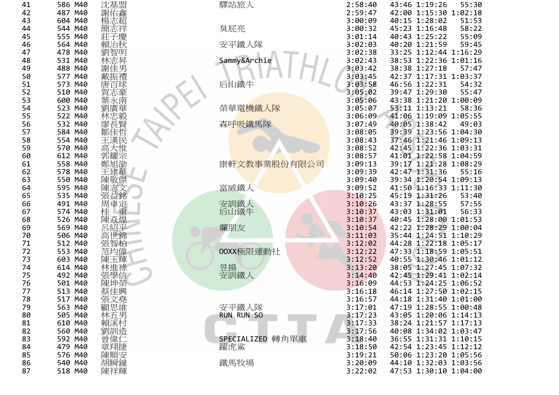| 41<br>42<br>43<br>44<br>45<br>46<br>47<br>48<br>49<br>50<br>51<br>52<br>53<br>54<br>55<br>56<br>57<br>58<br>59<br>60<br>61<br>62<br>63<br>64<br>65<br>66<br>67<br>68<br>69<br>70<br>71<br>72<br>73<br>74<br>75<br>76<br>77<br>78<br>79<br>80<br>81<br>82<br>83<br>84<br>85<br>86<br>87                                                |
|---------------------------------------------------------------------------------------------------------------------------------------------------------------------------------------------------------------------------------------------------------------------------------------------------------------------------------------|
| 586<br>487<br>604<br>544<br>555<br>564<br>478<br>531<br>488<br>577<br>573<br>510<br>600<br>523<br>522<br>532<br>584<br>554<br>570<br>612<br>558<br>578<br>550<br>595<br>535<br>491<br>574<br>526<br>569<br>506<br>512<br>553<br>603<br>614<br>492<br>501<br>513<br>517<br>563<br>505<br>610<br>560<br>592<br>479<br>576<br>540<br>518 |
| M40<br>M40<br>M40<br>M40<br>M40<br>M40<br>M40<br>M40<br>M40<br>M40<br>M40<br>M40<br>M40<br>M40<br>M40<br>M40<br>M40<br>M40<br>M40<br>M40<br>M40<br>M40<br>M40<br>M40<br>M40<br>M40<br>M40<br>M40<br>M40<br>M40<br>M40<br>M40<br>M40<br>M40<br>M40<br>M40<br>M40<br>M40<br>M40<br>M40<br>M40<br>M40<br>M40<br>M40<br>M40<br>M40<br>M40 |
| 沈基盟<br>冋<br>郭耀<br>鄭<br>陳敬<br>陳<br>《益釒<br>Ħ<br>ΓF<br>₩<br>朮車<br>ヾヺ<br>晒<br>張文堯<br>顧思維<br>林五男<br>賴溪村<br>劉訓造<br>曾偉1<br>章翔捷<br>陳順安<br>胡瞬鐘<br>陳祥輝                                                                                                                                                                                          |
|                                                                                                                                                                                                                                                                                                                                       |

| 1                       | 586 M40 | 沈基盟        | 驛站旅人              | 2:58:40 | 43:46 1:19:26         | 55:30 |
|-------------------------|---------|------------|-------------------|---------|-----------------------|-------|
| 2                       | 487 M40 | 謝佑鑫        |                   | 2:59:47 | 42:00 1:15:30 1:02:18 |       |
| 3                       | 604 M40 | 楊志超        |                   | 3:00:09 | 40:15 1:28:02         | 51:53 |
|                         | 544 M40 |            |                   | 3:00:32 | 45:23 1:16:48         | 58:22 |
| 4                       |         | 簡志祥        | 臭屁亮               |         |                       |       |
| 5                       | 555 M40 | 莊子慶        |                   | 3:01:14 | 40:43 1:25:22         | 55:09 |
| 6                       | 564 M40 | 賴治秋        | 安平鐵人隊             | 3:02:03 | 40:20 1:21:59         | 59:45 |
|                         | 478 M40 | 劉智明        |                   | 3:02:38 | 33:25 1:12:44 1:16:29 |       |
| 8                       | 531 M40 | 林志昇        | Sammy&Archie      | 3:02:43 | 38:53 1:22:36 1:01:16 |       |
| 9                       | 488 M40 | 謝佳男        |                   | 3:03:42 | 38:38 1:27:18         | 57:47 |
| 0                       | 577 M40 | 戴振禮        |                   | 3:03:45 | 42:37 1:17:31 1:03:37 |       |
|                         | 573 M40 | 唐百球        | 后山鐵牛              | 3:03:58 | 46:56 1:22:31         | 54:32 |
| $\overline{c}$          | 510 M40 | 賀志豪        |                   | 3:05:02 | 39:47 1:29:30         | 55:47 |
| 3                       | 600 M40 | 葉永南        |                   | 3:05:06 | 43:38 1:21:20 1:00:09 |       |
| 4                       | 523 M40 | 劉廣華        | 榮華電機鐵人隊           | 3:05:07 | 53:11 1:13:21         | 58:36 |
| 5                       | 522 M40 | 林忠毅賢       |                   | 3:06:09 | 41:06 1:19:09 1:05:55 |       |
| 6                       | 532 M40 |            | 森呼吸鐵馬隊            | 3:07:49 | 40:05 1:38:42         | 49:03 |
|                         | 584 M40 | 鄒佳哲        |                   | 3:08:05 | 39:39 1:23:56 1:04:30 |       |
| 8                       | 554 M40 | 王漢民        |                   | 3:08:43 | 37:46 1:21:46 1:09:13 |       |
| 9                       | 570 M40 | 高大惟        |                   | 3:08:52 | 42:45 1:22:36 1:03:31 |       |
| 0                       | 612 M40 | 郭耀宗        |                   | 3:08:57 | 41:01 1:22:58 1:04:59 |       |
|                         | 558 M40 | 鄭旭劭        | 康軒文教事業股份有限公司      | 3:09:13 | 39:17 1:21:28 1:08:29 |       |
| 2                       | 578 M40 | 王建華        |                   | 3:09:39 | 42:47 1:31:36         | 55:16 |
| 3                       | 550 M40 | 陳敬傑        |                   | 3:09:40 | 39:34 1:20:54 1:09:13 |       |
| 4                       | 595 M40 | 陳志文        | 富威鐵人              | 3:09:52 | 41:50 1:16:33 1:11:30 |       |
| 5                       | 535 M40 | 張益銘        |                   | 3:10:25 | 45:19 1:31:26         | 53:40 |
| 6                       | 491 M40 | 周卓定        | 安訓鐵人              | 3:10:26 | 43:37 1:28:55         | 57:55 |
|                         | 574 M40 | 桂<br>重     | 后山鐵牛              | 3:10:37 | 43:03 1:31:01         | 56:33 |
| 8                       | 526 M40 | 陳焱煌        |                   | 3:10:37 | 40:45 1:28:00 1:01:53 |       |
| 9                       | 569 M40 | 呂紹平        | 爛朋友               | 3:10:54 | 42:22 1:28:29 1:00:04 |       |
| 0                       | 506 M40 | 高世錦        |                   | 3:11:03 | 35:44 1:24:51 1:10:29 |       |
|                         | 512 M40 | 張智柏        |                   | 3:12:02 | 44:28 1:22:18 1:05:17 |       |
| 2                       | 553 M40 | 范均偉        | OOXX極限運動社         | 3:12:22 | 47:33 1:18:59 1:05:51 |       |
| 3                       | 603 M40 | 陳玉輝        |                   | 3:12:52 | 40:55 1:30:46 1:01:12 |       |
| 4                       | 614 M40 | 林進祿        | 昱揚                | 3:13:20 | 38:05 1:27:45 1:07:32 |       |
| 5                       | 492 M40 | 張學信        | 安訓鐵人              | 3:14:40 | 42:45 1:29:41 1:02:14 |       |
| 6                       | 501 M40 | 陳坤榮        |                   | 3:16:09 | 44:53 1:24:25 1:06:52 |       |
| 7                       | 513 M40 | 蔡佳興        |                   | 3:16:18 | 46:14 1:27:50 1:02:15 |       |
| 8                       | 517 M40 |            |                   | 3:16:57 | 44:18 1:31:40 1:01:00 |       |
|                         |         | 張文堯        |                   |         | 47:19 1:28:55 1:00:48 |       |
| 9                       | 563 M40 | 顧思維<br>林五男 | 安平鐵人隊             | 3:17:01 |                       |       |
| 0                       | 505 M40 |            | <b>RUN RUN SO</b> | 3:17:23 | 43:05 1:20:06 1:14:13 |       |
| 1                       | 610 M40 | 賴溪村        |                   | 3:17:33 | 38:24 1:21:57 1:17:13 |       |
| $\overline{\mathbf{c}}$ | 560 M40 | 劉訓造        |                   | 3:17:56 | 40:08 1:34:02 1:03:47 |       |
| 3                       | 592 M40 | 曾偉仁        | SPECIALIZED 轉角單車  | 3:18:40 | 36:55 1:31:31 1:10:15 |       |
| 4                       | 479 M40 | 章翔捷        | 躍虎鯊               | 3:18:50 | 42:54 1:23:45 1:12:12 |       |
| 5                       | 576 M40 | 陳順安        |                   | 3:19:21 | 50:06 1:23:20 1:05:56 |       |
| 6                       | 540 M40 | 胡瞬鐘        | 鐵馬牧場              | 3:20:09 | 44:10 1:32:03 1:03:56 |       |

|                         | 586 M40 | 沈基盟                                                                             | 驛站旅人                  | 2:58:40 | 43:46 1:19:26         | 55:30 |
|-------------------------|---------|---------------------------------------------------------------------------------|-----------------------|---------|-----------------------|-------|
| 2                       | 487 M40 |                                                                                 |                       | 2:59:47 | 42:00 1:15:30 1:02:18 |       |
| 3                       | 604 M40 | 謝佑鑫<br>楊志超                                                                      |                       | 3:00:09 | 40:15 1:28:02         | 51:53 |
| 4                       | 544 M40 | 簡志祥                                                                             | 臭屁亮                   | 3:00:32 | 45:23 1:16:48         | 58:22 |
| 5                       | 555 M40 | 莊子慶                                                                             |                       | 3:01:14 | 40:43 1:25:22         | 55:09 |
| 6                       | 564 M40 | 賴治秋                                                                             | 安平鐵人隊                 | 3:02:03 | 40:20 1:21:59         | 59:45 |
|                         | 478 M40 | 劉智明                                                                             |                       | 3:02:38 | 33:25 1:12:44 1:16:29 |       |
| 8                       | 531 M40 | 林志昇                                                                             | Sammy&Archie          | 3:02:43 | 38:53 1:22:36 1:01:16 |       |
| 9                       | 488 M40 | 謝佳                                                                              |                       | 3:03:42 | 38:38 1:27:18         | 57:47 |
| 0                       | 577 M40 |                                                                                 |                       | 3:03:45 | 42:37 1:17:31 1:03:37 |       |
|                         | 573 M40 | 唐百                                                                              | 后山鐵牛                  | 3:03:58 | 46:56 1:22:31         | 54:32 |
| 2                       | 510 M40 |                                                                                 |                       | 3:05:02 | 39:47 1:29:30         | 55:47 |
| 3                       | 600 M40 |                                                                                 |                       | 3:05:06 | 43:38 1:21:20 1:00:09 |       |
| 4                       | 523 M40 |                                                                                 | 榮華電機鐵人隊               | 3:05:07 | 53:11 1:13:21         | 58:36 |
| 5                       | 522 M40 | 林忠毅                                                                             |                       | 3:06:09 | 41:06 1:19:09 1:05:55 |       |
| 6                       | 532 M40 | 廖長賢                                                                             | 森呼 <mark>吸</mark> 鐵馬隊 | 3:07:49 | 40:05 1:38:42         | 49:03 |
|                         | 584 M40 | 鄒佳哲                                                                             |                       | 3:08:05 | 39:39 1:23:56 1:04:30 |       |
| 8                       | 554 M40 | 王漢民                                                                             |                       | 3:08:43 | 37:46 1:21:46 1:09:13 |       |
| 9                       | 570 M40 | 高大惟                                                                             |                       | 3:08:52 | 42:45 1:22:36 1:03:31 |       |
| 0                       | 612 M40 | 郭耀宗                                                                             |                       | 3:08:57 | 41:01 1:22:58 1:04:59 |       |
|                         | 558 M40 | 鄭旭劭                                                                             | 康軒文教事業股份有限公司          | 3:09:13 | 39:17 1:21:28 1:08:29 |       |
| 2                       | 578 M40 | 王建華                                                                             |                       | 3:09:39 | 42:47 1:31:36         | 55:16 |
| 3                       | 550 M40 | 陳敬傑                                                                             |                       | 3:09:40 | 39:34 1:20:54 1:09:13 |       |
| 4                       | 595 M40 | 陳志文                                                                             | 富威鐵人                  | 3:09:52 | 41:50 1:16:33 1:11:30 |       |
| 5                       | 535 M40 | 張益銘                                                                             |                       | 3:10:25 | 45:19 1:31:26         | 53:40 |
| 6                       | 491 M40 | 周卓定                                                                             | 安訓鐵人                  | 3:10:26 | 43:37 1:28:55         | 57:55 |
|                         | 574 M40 | 桂                                                                               | 后山鐵牛                  | 3:10:37 | 43:03 1:31:01         | 56:33 |
| 8                       | 526 M40 | 陳焱煌                                                                             |                       | 3:10:37 | 40:45 1:28:00 1:01:53 |       |
| 9                       | 569 M40 | 呂紹平                                                                             | 爛朋友                   | 3:10:54 | 42:22 1:28:29 1:00:04 |       |
| 0                       | 506 M40 | 高世錦                                                                             |                       | 3:11:03 | 35:44 1:24:51 1:10:29 |       |
|                         | 512 M40 | 張智柏                                                                             |                       | 3:12:02 | 44:28 1:22:18 1:05:17 |       |
| $\overline{\mathbf{c}}$ | 553 M40 | 范均偉                                                                             | 00XX極限運動社             | 3:12:22 | 47:33 1:18:59 1:05:51 |       |
| 3                       | 603 M40 | 陳玉輝                                                                             |                       | 3:12:52 | 40:55 1:30:46 1:01:12 |       |
| 4                       | 614 M40 | 林進祿                                                                             | 昱揚                    | 3:13:20 | 38:05 1:27:45 1:07:32 |       |
| 5                       | 492 M40 | 張學信                                                                             | 安訓鐵人                  | 3:14:40 | 42:45 1:29:41 1:02:14 |       |
| 6                       | 501 M40 | 陳坤榮                                                                             |                       | 3:16:09 | 44:53 1:24:25 1:06:52 |       |
|                         | 513 M40 | 蔡佳興                                                                             |                       | 3:16:18 | 46:14 1:27:50 1:02:15 |       |
| 8                       | 517 M40 | 張文堯                                                                             |                       | 3:16:57 | 44:18 1:31:40 1:01:00 |       |
| 9                       | 563 M40 | 《題林賴》<br>林賴<br><br><br><br><br><br><br><br><br><br><br><br><br><br><br><br><br> | 安平鐵人隊                 | 3:17:01 | 47:19 1:28:55 1:00:48 |       |
| 0                       | 505 M40 |                                                                                 | <b>RUN RUN SO</b>     | 3:17:23 | 43:05 1:20:06 1:14:13 |       |
| 1                       | 610 M40 |                                                                                 |                       | 3:17:33 | 38:24 1:21:57 1:17:13 |       |
| $\overline{\mathbf{c}}$ | 560 M40 | 劉訓造                                                                             |                       | 3:17:56 | 40:08 1:34:02 1:03:47 |       |
| 3                       | 592 M40 | 曾偉仁                                                                             | SPECIALIZED 轉角單車      | 3:18:40 | 36:55 1:31:31 1:10:15 |       |
| 4                       | 479 M40 | 章翔捷                                                                             | 躍虎鯊                   | 3:18:50 | 42:54 1:23:45 1:12:12 |       |
| 5                       | 576 M40 | 陳順安                                                                             |                       | 3:19:21 | 50:06 1:23:20 1:05:56 |       |
| 6                       | 540 M40 | 胡瞬鐘                                                                             | 鐵馬牧場                  | 3:20:09 | 44:10 1:32:03 1:03:56 |       |
| 7                       | 518 M40 | 陳祥輝                                                                             |                       | 3:22:02 | 47:53 1:30:10 1:04:00 |       |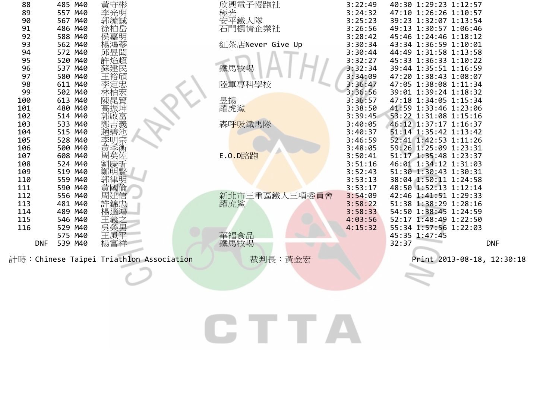| 88         | 485 M40    | 黃守彬                                     | 欣興電子慢跑社              | 3:22:49 | 40:30 1:29:23 1:12:57      |            |
|------------|------------|-----------------------------------------|----------------------|---------|----------------------------|------------|
| 89         | 557 M40    | 李光明                                     | 極光<br>安平鐵人隊          | 3:24:32 | 47:10 1:26:26 1:10:57      |            |
| 90         | M40<br>567 | 郭毓誠                                     |                      | 3:25:23 | 39:23 1:32:07 1:13:54      |            |
| 91         | 486 M40    |                                         | 石門楓情企業社              | 3:26:56 | 49:13 1:30:57 1:06:46      |            |
| 92         | 588 M40    |                                         |                      | 3:28:42 | 45:46 1:24:46 1:18:12      |            |
| 93         | 562 M40    | 蔘                                       | 紅茶店Never Give Up     | 3:30:34 | 43:34 1:36:59 1:10:01      |            |
| 94         | 572 M40    | 邱昱聞                                     |                      | 3:30:44 | 44:49 1:31:58 1:13:58      |            |
| 95         | 520 M40    | 許焰超                                     |                      | 3:32:27 | 45:33 1:36:33 1:10:22      |            |
| 96         | 537 M40    | 蘇建民                                     | 鐵馬牧場                 | 3:32:34 | 39:44 1:35:51 1:16:59      |            |
| 97         | 580 M40    | 裕頎                                      |                      | 3:34:09 | 47:20 1:38:43 1:08:07      |            |
| 98         | 611 M40    | 李定忠                                     | 陸軍專科學校               | 3:36:47 | 47:05 1:38:08 1:11:34      |            |
| 99         | 502 M40    |                                         |                      | 3:36:56 | 39:01 1:39:24 1:18:32      |            |
| 100        | 613<br>M40 | 陳昆賢                                     | 昱揚                   | 3:36:57 | 47:18 1:34:05 1:15:34      |            |
| 101        | 480 M40    | 高振坤                                     | 躍虎鯊                  | 3:38:50 | 41:59 1:33:46 1:23:06      |            |
| 102        | 514 M40    | 『郭鄭趙李黃周盟<br>『唐朝天英語                      |                      | 3:39:45 | 53:22 1:31:08 1:15:16      |            |
| 103        | 533 M40    |                                         | 森呼吸鐵馬隊               | 3:40:05 | 46:12 1:37:17 1:16:37      |            |
| 104        | 515 M40    |                                         |                      | 3:40:37 | 51:14 1:35:42 1:13:42      |            |
| 105        | 528 M40    |                                         |                      | 3:46:59 | 52:41 1:42:53 1:11:26      |            |
| 106        | 500 M40    |                                         |                      | 3:48:05 | 59:26 1:25:09 1:23:31      |            |
| 107        | 608 M40    |                                         | E.O.D路跑              | 3:50:41 | 51:17 1:35:48 1:23:37      |            |
| 108        | 524 M40    | 劉慶昕                                     |                      | 3:51:16 | 46:01 1:34:12 1:31:03      |            |
| 109        | 519 M40    |                                         |                      | 3:52:43 | 51:30 1:30:43 1:30:31      |            |
| 110        | 559 M40    | 郭律明<br>黃國倫                              |                      | 3:53:13 | 38:04 1:50:11<br>1:24:58   |            |
| 111        | 590 M40    |                                         |                      | 3:53:17 | 48:50 1:52:13<br>1:12:14   |            |
| 112        | 556 M40    |                                         | 新北市三重區鐵人三項委員會<br>躍虎鯊 | 3:54:09 | 42:46 1:41:51 1:29:33      |            |
| 113        | 481 M40    | 許錦忠                                     |                      | 3:58:22 | 51:38 1:38:29 1:28:16      |            |
| 114        | 489 M40    |                                         |                      | 3:58:33 | 54:50 1:38:45 1:24:59      |            |
| 115        | 546 M40    | 王義之                                     |                      | 4:03:56 | 1:48:49 1:22:50<br>52:17   |            |
| 116        | 529 M40    | 吳榮男                                     |                      | 4:15:32 | 55:34 1:57:56 1:22:03      |            |
|            | 575 M40    | 王風平                                     |                      |         | 45:35 1:47:45              |            |
| <b>DNF</b> | 539 M40    | 楊富祥                                     | 華福食品<br>鐵馬牧場         |         | 32:37                      | <b>DNF</b> |
|            |            | 計時:Chinese Taipei Triathlon Association | 裁判長:黃金宏              |         | Print 2013-08-18, 12:30:18 |            |
|            |            |                                         |                      |         |                            |            |
|            |            |                                         |                      |         |                            |            |
|            |            |                                         |                      |         |                            |            |

CTTA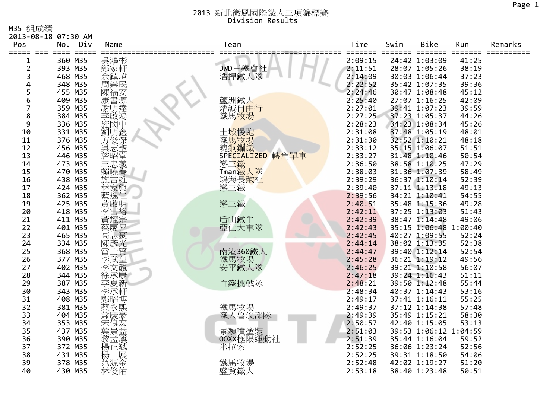M35 組成績

|                    | 2013-08-18 07:30 AM                  |                     |                            |         |      |                              |       |         |
|--------------------|--------------------------------------|---------------------|----------------------------|---------|------|------------------------------|-------|---------|
| Pos                | No.<br>Div                           | Name                | Team                       | Time    | Swim | Bike                         | Run   | Remarks |
| =====<br>$==$<br>1 | $=$ $=$ $=$ $=$<br>$====$<br>360 M35 | 吳鴻彬                 |                            | 2:09:15 |      | $=$ $=$ $=$<br>24:42 1:03:09 | 41:25 |         |
| $\overline{2}$     | 393 M35                              | 鄭家軒                 | DWD三鐵會社                    | 2:11:51 |      | 28:07 1:05:26                | 38:19 |         |
| 3                  | 468 M35                              | 余鎮瑋                 | 浩捍鐵人隊                      | 2:14:09 |      | 30:03 1:06:44                | 37:23 |         |
| 4                  | 348 M35                              | 周崇民                 |                            | 2:22:52 |      | 35:42 1:07:35                | 39:36 |         |
| 5                  | 455 M35                              | 陳福安                 |                            | 2:24:46 |      | 30:47 1:08:48                | 45:12 |         |
| 6                  | 409 M35                              |                     | 蘆洲鐵人                       | 2:25:40 |      | 27:07 1:16:25                | 42:09 |         |
| 7                  | 359 M35                              | 康書源<br>謝明達          | 熠誠自由行                      | 2:27:01 |      | 39:41 1:07:23                | 39:59 |         |
| 8                  | 384 M35                              | 李啟鴻                 | 鐵馬牧場                       | 2:27:25 |      | 37:23 1:05:37                | 44:26 |         |
| 9                  | 336 M35                              | 施閔中                 |                            | 2:28:23 |      | 34:23 1:08:34                | 45:26 |         |
| 10                 | 331 M35                              |                     | 土城慢跑                       | 2:31:08 |      | 37:48 1:05:19                | 48:01 |         |
| 11                 | 376 M35                              |                     | 鐵馬牧場                       | 2:31:30 |      | 32:52 1:10:21                | 48:18 |         |
| 12                 | 456 M35                              |                     | 魄銅鑭鐵                       | 2:33:12 |      | 35:15 1:06:07                | 51:51 |         |
| 13                 | 446 M35                              | ·劉方吳詹<br>明俊志昭·<br>唐 | SPECIALIZED 轉角單車           | 2:33:27 |      | 31:48 1:10:46                | 50:54 |         |
| 14                 | 473 M35                              |                     | 戀三鐵                        | 2:36:50 |      | 38:58 1:10:25                | 47:29 |         |
| 15                 | 470 M35                              | 王忠義<br>賴曉春          | Tman鐵人隊                    | 2:38:03 |      | 31:36 1:07:39                | 58:49 |         |
| 16                 | 438 M35                              | 施吉雄                 |                            | 2:39:29 |      | 36:37 1:10:14                | 52:39 |         |
| 17                 | 424 M35                              | 林家興                 | 鴻海長 <mark>跑社</mark><br>戀三鐵 | 2:39:40 |      | 37:11 1:13:18                | 49:13 |         |
| 18                 | 362 M35                              |                     |                            | 2:39:56 |      | 34:21 1:10:41                | 54:55 |         |
| 19                 | 425 M35                              | 黃啟明                 | 戀三鐵                        | 2:40:51 |      | 35:48 1:15:36                | 49:28 |         |
| 20                 | 418 M35                              | 李富裕                 |                            | 2:42:11 |      | 37:25 1:13:03                | 51:43 |         |
| 21                 | 411 M35                              | 黃耀宗                 | 后山鐵牛                       | 2:42:39 |      | 38:47 1:14:48                | 49:06 |         |
| 22                 | 401 M35                              | 蔡慶昇                 | 亞仕大車隊                      | 2:42:43 |      | 35:15 1:06:48 1:00:40        |       |         |
| 23                 | 465 M35                              | 《高陳雷士》<br>康彦士、      |                            | 2:42:45 |      | 40:27 1:09:55                | 52:24 |         |
| 24                 | 334 M35                              |                     |                            | 2:44:14 |      | 38:02 1:13:35                | 52:38 |         |
| 25                 | 368 M35                              |                     | 南港360鐵人                    | 2:44:47 |      | 39:40 1:12:14                | 52:54 |         |
| 26                 | 377 M35                              | 李武皇                 | 鐵馬牧場                       | 2:45:28 |      | 36:21 1:19:12                | 49:56 |         |
| 27                 | 402 M35                              | 李文龍                 | 安平鐵人隊                      | 2:46:25 |      | 39:21 1:10:58                | 56:07 |         |
| 28                 | 344 M35                              | 徐承康                 |                            | 2:47:18 |      | 39:24 1:16:43                | 51:11 |         |
| 29                 | 387 M35                              | 李夏新                 | 百鐵挑戰隊                      | 2:48:21 |      | 39:50 1:12:48                | 55:44 |         |
| 30                 | 343 M35                              | 李承軒                 |                            | 2:48:34 |      | 40:37 1:14:43                | 53:16 |         |
| 31                 | 408 M35                              | 鄭昭博                 |                            | 2:49:17 |      | 37:41 1:16:11                | 55:25 |         |
| 32                 | 381 M35                              | 蔡永熙                 | 鐵馬牧場                       | 2:49:37 |      | 37:12 1:14:38                | 57:48 |         |
| 33                 | 404 M35                              | 蕭慶豪                 | 鐵人魯洨部隊                     | 2:49:39 |      | 35:49 1:15:21                | 58:30 |         |
| 34                 | 353 M35                              | 宋俍宏                 |                            | 2:50:57 |      | 42:40 1:15:05                | 53:13 |         |
| 35                 | 437 M35                              | 葉景益                 | 景穎噴塗裝                      | 2:51:03 |      | 39:53 1:06:12 1:04:59        |       |         |
| 36                 | 390 M35                              | 黎孟澐                 | OOXX極限運動社                  | 2:51:39 |      | 35:44 1:16:04                | 59:52 |         |
| 37                 | 372 M35                              | 楊正斌                 | 米拉索                        | 2:52:25 |      | 36:06 1:23:24                | 52:56 |         |
| 38                 | 431 M35                              | 楊<br>范源金            |                            | 2:52:25 |      | 39:31 1:18:50                | 54:06 |         |
| 39                 | 378 M35                              |                     | 鐵馬牧場                       | 2:52:48 |      | 42:02 1:19:27                | 51:20 |         |
| 40                 | 430 M35                              | 林俊佑                 | 盛貿鐵人                       | 2:53:18 |      | 38:40 1:23:48                | 50:51 |         |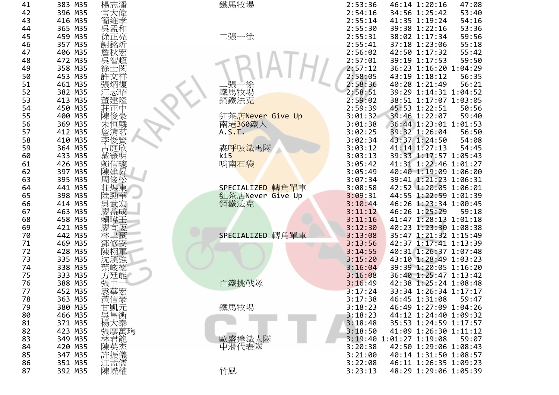| 41       | 383<br>M35               |                       |
|----------|--------------------------|-----------------------|
| 42<br>43 | 396<br>M35<br>M35<br>416 |                       |
| 44       | 365<br>M35               |                       |
| 45       | 459<br>M35               |                       |
| 46<br>47 | 357<br>M35<br>406<br>M35 |                       |
| 48       | M35<br>472               |                       |
| 49       | 358<br>M35               |                       |
| 50       | 453<br>M35               |                       |
| 51<br>52 | M35<br>461<br>M35<br>382 | 炳復                    |
| 53       | M35<br>413               | 建降                    |
| 54       | M35<br>450               |                       |
| 55       | M35<br>400               | 俊雪<br>陳               |
| 56<br>57 | M35<br>369<br>M35<br>412 | 百麟                    |
| 58       | M35<br>410               | 夋鼍                    |
| 59       | M35<br>364               | 庭欣                    |
| 60       | M35<br>433               | 戴<br>憲                |
| 61<br>62 | 426<br>M35<br>397<br>M35 | 詳潔<br>賴信<br>建昇<br>陳   |
| 63       | M35<br>395               | 周俊杉                   |
| 64       | M35<br>441               | 煜<br>Ę                |
| 65       | M35<br>398               | 陸勁                    |
| 66<br>67 | M35<br>414<br>463<br>M35 | $\overline{1}$<br>廖益成 |
| 68       | M35<br>458               | 賴晴                    |
| 69       | 421<br>M35               |                       |
| 70       | 442<br>M35               |                       |
| 71<br>72 | 469<br>M35<br>428<br>M35 | 얘                     |
| 73       | M35<br>335               | 环角                    |
| 74       | 338<br>M35               |                       |
| 75<br>76 | 333<br>M35<br>388<br>M35 | 閒                     |
| 77       | 452<br>M35               | 詳華                    |
| 78       | 363<br>M35               | 黃信彖<br>甘凱元            |
| 79       | M35<br>380               |                       |
| 80<br>81 | M35<br>466<br>371<br>M35 | 吳昌衡<br>楊ナ             |
| 82       | M35<br>423               | 張廖萬珣                  |
| 83       | M35<br>349               | 林君龍                   |
| 84<br>85 | M35<br>420<br>M35<br>347 | 陳英烈                   |
| 86       | 351<br>M35               | 午振儀<br>孟儒             |
| 87       | 392<br>M35               | 陳嶸權                   |

| 1             | 383 M35 |            | 鐵馬牧場             | 2:53:36 |                         | 46:14 1:20:16         | 47:08 |
|---------------|---------|------------|------------------|---------|-------------------------|-----------------------|-------|
|               | 396 M35 | 楊志潘<br>官大偉 |                  | 2:54:16 |                         | 34:56 1:25:42         | 53:40 |
| 2<br>3        | 416 M35 | 簡維孝        |                  | 2:55:14 |                         | 41:35 1:19:24         | 54:16 |
| 4             | 365 M35 | 吳孟和        |                  | 2:55:30 |                         | 39:38 1:22:16         | 53:36 |
| 5             | 459 M35 |            | 二張一徐             | 2:55:31 |                         | 38:02 1:17:34         | 59:56 |
|               | 357 M35 | 徐正亮        |                  | 2:55:41 |                         |                       |       |
| 6             |         | 謝銘炘        |                  |         |                         | 37:18 1:23:06         | 55:18 |
| 7             | 406 M35 | 詹秋宏        |                  | 2:56:02 |                         | 42:50 1:17:32         | 55:42 |
| 8             | 472 M35 |            |                  | 2:57:01 |                         | 39:19 1:17:53         | 59:50 |
| 9             | 358 M35 | 徐士閔        |                  | 2:57:12 |                         | 36:23 1:16:20 1:04:29 |       |
| 0             | 453 M35 | 許文祥        |                  | 2:58:05 |                         | 43:19 1:18:12         | 56:35 |
| 1             | 461 M35 | 張炳復        | 二張一徐<br>鐵馬牧場     | 2:58:36 |                         | 40:28 1:21:49         | 56:21 |
| $\frac{2}{3}$ | 382 M35 | 汪志昭        |                  | 2:58:51 |                         | 39:29 1:14:31 1:04:52 |       |
|               | 413 M35 | 董建隆        | 鋼鐵法克             | 2:59:02 |                         | 38:51 1:17:07 1:03:05 |       |
| 4             | 450 M35 | 莊正中        |                  | 2:59:39 |                         | 45:53 1:22:51         | 50:56 |
| 5<br>6        | 400 M35 | 陳俊豪        | 紅茶店Never Give Up | 3:01:32 |                         | 39:46 1:22:07         | 59:40 |
|               | 369 M35 | 朱恒麟        | 南港360鐵人          | 3:01:38 |                         | 36:44 1:23:01 1:01:53 |       |
| 7             | 412 M35 | 詹淯茗        | A.S.T.           | 3:02:25 |                         | 39:32 1:26:04         | 56:50 |
| 8             | 410 M35 | 李俊賢        |                  | 3:02:34 |                         | 43:37 1:24:50         | 54:08 |
| 9             | 364 M35 | 古庭欣        | 森呼吸鐵馬隊           | 3:03:12 |                         | 41:14 1:27:13         | 54:45 |
| 0             | 433 M35 | 戴憲明        | k15              | 3:03:13 |                         | 39:33 1:17:57 1:05:43 |       |
|               | 426 M35 | 賴信璁        | 哨南石袋             | 3:05:42 |                         | 41:31 1:22:46 1:01:27 |       |
|               | 397 M35 | 陳建昇        |                  | 3:05:49 |                         | 40:40 1:19:09 1:06:00 |       |
| 1<br>2<br>3   | 395 M35 | 周俊松        |                  | 3:07:34 |                         | 39:41 1:21:23 1:06:31 |       |
| 4             | 441 M35 | 莊煜東        | SPECIALIZED 轉角單車 | 3:08:58 |                         | 42:52 1:20:05 1:06:01 |       |
| 5             | 398 M35 | 陸勁華        | 紅茶店Never Give Up | 3:09:31 |                         | 44:55 1:22:59 1:01:39 |       |
| 6             | 414 M35 | 吳武宏        | 鋼鐵法克             | 3:10:44 |                         | 46:26 1:23:34 1:00:45 |       |
| 7             | 463 M35 | 廖益成        |                  | 3:11:12 |                         | 46:26 1:25:29         | 59:18 |
| 8             | 458 M35 | 賴暐壬        |                  | 3:11:16 |                         | 41:47 1:28:13 1:01:18 |       |
| 9             | 421 M35 | 廖宜恆        |                  | 3:12:30 |                         | 40:23 1:23:30 1:08:38 |       |
| 0             | 442 M35 |            | SPECIALIZED 轉角單車 | 3:13:08 |                         | 35:47 1:21:32 1:15:49 |       |
|               |         | 林聿豪        |                  |         |                         |                       |       |
| 1<br>2<br>3   | 469 M35 | 鄧修安        |                  | 3:13:56 |                         | 42:37 1:17:41 1:13:39 |       |
|               | 428 M35 | 陳栩軍        |                  | 3:14:55 |                         | 40:31 1:26:37 1:07:48 |       |
|               | 335 M35 | 沈漢強        |                  | 3:15:20 |                         | 43:10 1:28:49 1:03:23 |       |
| 4             | 338 M35 | 葉峻德        |                  | 3:16:04 |                         | 39:39 1:20:05 1:16:20 |       |
| 5             | 333 M35 | 方廷能        |                  | 3:16:08 |                         | 36:40 1:25:47 1:13:42 |       |
| 6             | 388 M35 | 張中         | 百鐵挑戰隊            | 3:16:49 |                         | 42:38 1:25:24 1:08:48 |       |
| 7             | 452 M35 | 袁華宏        |                  | 3:17:24 |                         | 33:34 1:26:34 1:17:17 |       |
| 8             | 363 M35 | 黃信豪        |                  | 3:17:38 |                         | 46:45 1:31:08         | 59:47 |
| 9             | 380 M35 | 甘凱元        | 鐵馬牧場             | 3:18:23 |                         | 46:49 1:27:09 1:04:26 |       |
| 0             | 466 M35 | 吳昌衡        |                  | 3:18:23 |                         | 44:12 1:24:40 1:09:32 |       |
| 1             | 371 M35 | 楊大泰        |                  | 3:18:48 |                         | 35:53 1:24:59 1:17:57 |       |
| 2             | 423 M35 | 張廖萬珣       |                  | 3:18:50 |                         | 41:09 1:26:30 1:11:12 |       |
| 3             | 349 M35 | 林君龍        | 歐盛達鐵人隊           |         | 3:19:40 1:01:27 1:19:08 |                       | 59:07 |
| 4             | 420 M35 | 陳英杰        | 中滑代表隊            | 3:20:38 |                         | 42:50 1:29:06 1:08:43 |       |
| 5             | 347 M35 | 許振儀        |                  | 3:21:00 |                         | 40:14 1:31:50 1:08:57 |       |
| 6             | 351 M35 | 江孟儒        |                  | 3:22:08 |                         | 46:11 1:26:35 1:09:23 |       |
|               |         |            | $\frac{1}{2}$ .  |         |                         |                       |       |

| 鐵馬牧場             | 2:53:36 | 46:14 1:20:16<br>47:08           |  |
|------------------|---------|----------------------------------|--|
|                  | 2:54:16 | 34:56 1:25:42<br>53:40           |  |
|                  | 2:55:14 | 41:35 1:19:24<br>54:16           |  |
|                  | 2:55:30 | 39:38 1:22:16<br>53:36           |  |
| 二張一徐             | 2:55:31 | 38:02 1:17:34<br>59:56           |  |
|                  | 2:55:41 | 37:18 1:23:06<br>55:18           |  |
|                  | 2:56:02 | 42:50 1:17:32<br>55:42           |  |
|                  | 2:57:01 | 39:19 1:17:53<br>59:50           |  |
|                  |         |                                  |  |
|                  | 2:57:12 | 36:23 1:16:20 1:04:29            |  |
|                  | 2:58:05 | 43:19 1:18:12<br>56:35           |  |
| 二張一徐             | 2:58:36 | 40:28 1:21:49<br>56:21           |  |
| 鐵馬牧場             | 2:58:51 | 39:29 1:14:31 1:04:52            |  |
| 鋼鐵法克             | 2:59:02 | 38:51 1:17:07 1:03:05            |  |
|                  | 2:59:39 | 45:53 1:22:51<br>50:56           |  |
| 紅茶店Never Give Up | 3:01:32 | 39:46 1:22:07<br>59:40           |  |
| 南港360鐵人          | 3:01:38 | 36:44 1:23:01 1:01:53            |  |
| A.S.T.           | 3:02:25 | 39:32 1:26:04<br>56:50           |  |
|                  | 3:02:34 | 43:37 1:24:50<br>54:08           |  |
| 森呼吸鐵馬隊           | 3:03:12 | 41:14 1:27:13<br>54:45           |  |
| k15              | 3:03:13 | 39:33 1:17:57 1:05:43            |  |
| 哨南石袋             | 3:05:42 | 41:31 1:22:46 1:01:27            |  |
|                  | 3:05:49 | 40:40 1:19:09 1:06:00            |  |
|                  | 3:07:34 | 39:41 1:21:23 1:06:31            |  |
| SPECIALIZED 轉角單車 | 3:08:58 | 42:52 1:20:05 1:06:01            |  |
| 紅茶店Never Give Up | 3:09:31 | 44:55 1:22:59 1:01:39            |  |
| 鋼鐵法克             | 3:10:44 | 46:26 1:23:34 1:00:45            |  |
|                  | 3:11:12 | 46:26 1:25:29<br>59:18           |  |
|                  | 3:11:16 | 41:47 1:28:13 1:01:18            |  |
|                  |         | 40:23 1:23:30 1:08:38            |  |
|                  | 3:12:30 |                                  |  |
| SPECIALIZED 轉角單車 | 3:13:08 | 35:47 1:21:32 1:15:49            |  |
|                  | 3:13:56 | 42:37 1:17:41 1:13:39            |  |
|                  | 3:14:55 | 40:31 1:26:37 1:07:48            |  |
|                  | 3:15:20 | 43:10 1:28:49 1:03:23            |  |
|                  | 3:16:04 | 39:39 1:20:05 1:16:20            |  |
|                  | 3:16:08 | 36:40 1:25:47 1:13:42            |  |
| 百鐵挑戰隊            | 3:16:49 | 42:38 1:25:24 1:08:48            |  |
|                  | 3:17:24 | 33:34 1:26:34 1:17:17            |  |
|                  | 3:17:38 | 46:45 1:31:08 59:47              |  |
| 鐵馬牧場             | 3:18:23 | 46:49 1:27:09 1:04:26            |  |
|                  | 3:18:23 | 44:12 1:24:40<br>1:09:32         |  |
|                  | 3:18:48 | 35:53 1:24:59 1:17:57            |  |
|                  | 3:18:50 | 41:09 1:26:30<br>1:11:12         |  |
| 歐盛達鐵人隊           |         | 3:19:40 1:01:27 1:19:08<br>59:07 |  |
| 中滑代表隊            | 3:20:38 | 42:50 1:29:06<br>1:08:43         |  |
|                  | 3:21:00 | 40:14 1:31:50<br>1:08:57         |  |
|                  | 3:22:08 | 46:11 1:26:35 1:09:23            |  |
| 竹風               | 3:23:13 | 48:29 1:29:06 1:05:39            |  |
|                  |         |                                  |  |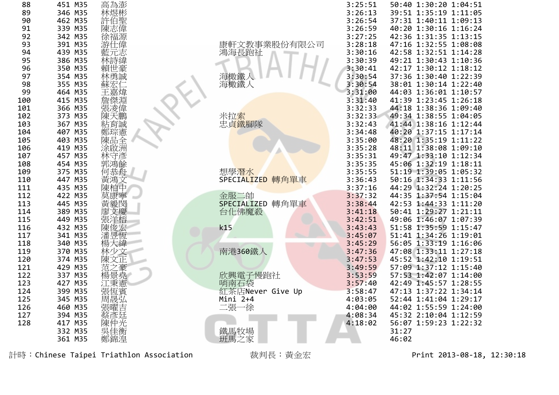| 88  | 451 M35 | 高為澎        |                             | 3:25:51 | 50:40 1:30:20 1:04:51 |
|-----|---------|------------|-----------------------------|---------|-----------------------|
| 89  | 346 M35 | 林煜彬        |                             | 3:26:13 | 39:51 1:35:19 1:11:05 |
| 90  | 462 M35 |            |                             | 3:26:54 | 37:31 1:40:11 1:09:13 |
| 91  | 339 M35 | 許伯聖<br>陳志偉 |                             | 3:26:59 | 40:20 1:30:16 1:16:24 |
| 92  | 342 M35 | 徐福源        |                             | 3:27:25 | 42:36 1:31:35 1:13:15 |
| 93  | 391 M35 | 游仕偉        | 康軒文教事業股份有限公司                | 3:28:18 | 47:16 1:32:55 1:08:08 |
| 94  | 439 M35 | 藍元志        | 鴻海長跑社                       | 3:30:16 | 42:58 1:32:51 1:14:28 |
| 95  | 386 M35 | 林詩緯        |                             | 3:30:39 | 49:21 1:30:43 1:10:36 |
| 96  | 350 M35 | 賴世豪        |                             | 3:30:41 | 42:17 1:30:12 1:18:12 |
| 97  | 354 M35 | 林勇誠        | 海橄鐵人                        | 3:30:54 | 37:36 1:30:40 1:22:39 |
| 98  | 355 M35 | 蘇宏         | 海橄鐵人                        | 3:30:54 | 38:01 1:30:14 1:22:40 |
| 99  | 464 M35 | 王嘉煒        |                             | 3:31:00 | 44:03 1:36:01 1:10:57 |
| 100 | 415 M35 | 詹傑淵        |                             | 3:31:40 | 41:39 1:23:45 1:26:18 |
| 101 | 366 M35 | 張凌偉        |                             | 3:32:33 | 44:18 1:38:36 1:09:40 |
| 102 | 373 M35 | 陳天鵬        |                             | 3:32:33 | 49:34 1:38:55 1:04:05 |
| 103 | 367 M35 | 粘育誠        | 米拉 <mark>索<br/>忠貞鐵腳隊</mark> | 3:32:43 | 41:44 1:38:16 1:12:44 |
| 104 | 407 M35 |            |                             | 3:34:48 | 40:20 1:37:15 1:17:14 |
| 105 | 403 M35 | 鄭琮憲<br>陳品全 |                             | 3:35:00 | 48:20 1:35:19 1:11:22 |
| 106 | 419 M35 | 涂啟洲        |                             | 3:35:28 | 48:11 1:38:08 1:09:10 |
| 107 | 457 M35 | 林守彥        |                             | 3:35:31 | 49:47 1:33:10 1:12:34 |
| 108 | 454 M35 | 郭鴻餘        |                             | 3:35:35 | 45:06 1:32:19 1:18:11 |
| 109 | 375 M35 | 何恭舟        | 想學潛水                        | 3:35:55 | 51:19 1:39:05 1:05:32 |
| 110 | 447 M35 | 黃鴻文        | 轉角單車<br>SPECIALIZED         | 3:36:43 | 50:16 1:34:33 1:11:56 |
| 111 | 435 M35 | 陳柏中        |                             | 3:37:16 | 44:29 1:32:24 1:20:25 |
| 112 | 422 M35 | 莫康寧        | 金服二帥                        | 3:37:32 | 44:35 1:37:54 1:15:04 |
| 113 | 445 M35 | 黃毅閔        | SPECIALIZED 轉角單車            | 3:38:44 | 42:53 1:44:33 1:11:20 |
| 114 | 389 M35 | 廖          | 台化佛魔殺                       | 3:41:18 | 50:41 1:29:27 1:21:11 |
| 115 | 449 M35 | 張洋榕        |                             | 3:42:51 | 49:06 1:46:07 1:07:39 |
| 116 | 432 M35 | 陳俊宏        | k15                         | 3:43:43 | 51:58 1:35:59 1:15:47 |
| 117 | 341 M35 |            |                             | 3:45:07 | 51:41 1:34:26 1:19:01 |
| 118 | 340 M35 | 楊大緯        |                             | 3:45:29 | 56:05 1:33:19 1:16:06 |
| 119 | 370 M35 | 林少文        | 南港360鐵人                     | 3:47:36 | 47:08 1:33:11 1:27:18 |
| 120 | 374 M35 | 陳文正        |                             | 3:47:53 | 45:52 1:42:10 1:19:51 |
| 121 | 429 M35 | 范<br>之豪    |                             | 3:49:59 | 57:09 1:37:12 1:15:40 |
| 122 | 337 M35 | 楊景堯        | 欣興電子慢跑社                     | 3:53:59 | 57:53 1:42:07 1:14:00 |
| 123 | 427 M35 | 江秉憲        | 哨南石袋                        | 3:57:40 | 42:49 1:45:57 1:28:55 |
| 124 | 399 M35 | 張恆賓        | 紅茶店Never Give Up            | 3:58:47 | 47:13 1:37:22 1:34:14 |
| 125 | 345 M35 | 周晟弘        | Mini 2+4                    | 4:03:05 | 52:44 1:41:04 1:29:17 |
| 126 | 460 M35 | 張曜吉        | 二張一徐                        | 4:04:00 | 44:02 1:55:59 1:24:00 |
| 127 | 394 M35 | 蔡彥廷        |                             | 4:08:34 | 45:32 2:10:04 1:12:59 |
| 128 | 417 M35 | 陳仲光        |                             | 4:18:02 | 56:07 1:59:23 1:22:32 |
|     | 332 M35 | 吳佳衡        | 鐵馬牧場                        |         | 31:27                 |
|     | 361 M35 | 鄭錦湟        | 班馬之家                        |         | 46:02                 |



| : 25:51<br>: 26:13<br>: 26:54<br>: 26:59<br>: 27:25<br>: 28:18<br>:30:16<br>:30:39<br>:30:41<br>:30:54<br>:30:54<br>:31:00<br>:31:40<br>:32:33<br>:32:33<br>:32:43<br>:34:48<br>:35:00<br>:35:28<br>:35:31<br>:35:35<br>:35:55<br>:36:43<br>:37:16<br>:37:32<br>:38:44<br>:41:18<br>:42:51<br>:43:43<br>:45:07<br>:45:29<br>:47:36<br>:47:53<br>:49:59 | 50:40<br>39:51<br>37:31<br>40:20<br>42:36<br>47:16<br>42:58<br>49:21<br>42:17<br>37:36<br>38:01<br>44:03<br>41:39<br>44:18<br>49:34<br>41:44<br>40:20<br>48:20<br>48:11<br>49:47<br>45:06<br>51:19<br>50:16<br>44:29<br>44:35<br>42:53<br>50:41<br>49:06<br>51:58<br>51:41<br>56:05<br>47:08<br>45:52<br>57:09 | 1:30:20<br>1:35:19<br>1:40:11<br>1:30:16<br>1:31:35<br>1:32:55<br>1:32:51<br>1:30:43<br>1:30:12<br>1:30:40<br>1:30:14<br>1:36:01<br>1:23:45<br>1:38:36<br>1:38:55<br>1:38:16<br>1:37:15<br>1:35:19<br>1:38:08<br>1:33:10<br>1:32:19<br>1:39:05<br>1:34:33<br>1:32:24<br>1:37:54<br>1:44:33<br>1:29:27<br>1:46:07<br>1:35:59<br>1:34:26<br>1:33:19<br>1:33:11<br>1:42:10<br>1:37:12 | 1:04:51<br>1:11:05<br>1:09:13<br>1:16:24<br>1:13:15<br>1:08:08<br>1:14:28<br>1:10:36<br>1:18:12<br>1:22:39<br>1:22:40<br>1:10:57<br>1:26:18<br>1:09:40<br>1:04:05<br>1:12:44<br>1:17:14<br>1:11:22<br>1:09:10<br>1:12:34<br>1:18:11<br>1:05:32<br>1:11:56<br>1:20:25<br>1:15:04<br>1:11:20<br>1:21:11<br>1:07:39<br>1:15:47<br>1:19:01<br>1:16:06<br>1:27:18<br>1:19:51<br>1:15:40 |
|--------------------------------------------------------------------------------------------------------------------------------------------------------------------------------------------------------------------------------------------------------------------------------------------------------------------------------------------------------|----------------------------------------------------------------------------------------------------------------------------------------------------------------------------------------------------------------------------------------------------------------------------------------------------------------|------------------------------------------------------------------------------------------------------------------------------------------------------------------------------------------------------------------------------------------------------------------------------------------------------------------------------------------------------------------------------------|------------------------------------------------------------------------------------------------------------------------------------------------------------------------------------------------------------------------------------------------------------------------------------------------------------------------------------------------------------------------------------|
|                                                                                                                                                                                                                                                                                                                                                        |                                                                                                                                                                                                                                                                                                                |                                                                                                                                                                                                                                                                                                                                                                                    |                                                                                                                                                                                                                                                                                                                                                                                    |
|                                                                                                                                                                                                                                                                                                                                                        |                                                                                                                                                                                                                                                                                                                |                                                                                                                                                                                                                                                                                                                                                                                    |                                                                                                                                                                                                                                                                                                                                                                                    |
|                                                                                                                                                                                                                                                                                                                                                        |                                                                                                                                                                                                                                                                                                                |                                                                                                                                                                                                                                                                                                                                                                                    |                                                                                                                                                                                                                                                                                                                                                                                    |
| :53:59<br>:57:40                                                                                                                                                                                                                                                                                                                                       | 57:53<br>42:49                                                                                                                                                                                                                                                                                                 | 1:42:07<br>1:45:57                                                                                                                                                                                                                                                                                                                                                                 | 1:14:00<br>1:28:55                                                                                                                                                                                                                                                                                                                                                                 |
| :58:47<br>:03:05                                                                                                                                                                                                                                                                                                                                       | 47:13<br>52:44                                                                                                                                                                                                                                                                                                 | 1:37:22<br>1:41:04                                                                                                                                                                                                                                                                                                                                                                 | 1:34:14<br>1:29:17                                                                                                                                                                                                                                                                                                                                                                 |
| :04:00<br>:08:34                                                                                                                                                                                                                                                                                                                                       | 44:02<br>45:32                                                                                                                                                                                                                                                                                                 | 1:55:59<br>2:10:04                                                                                                                                                                                                                                                                                                                                                                 | 1:24:00<br>1:12:59                                                                                                                                                                                                                                                                                                                                                                 |
| : 18:02                                                                                                                                                                                                                                                                                                                                                | 56:07                                                                                                                                                                                                                                                                                                          | 1:59:23                                                                                                                                                                                                                                                                                                                                                                            | 1:22:32                                                                                                                                                                                                                                                                                                                                                                            |
|                                                                                                                                                                                                                                                                                                                                                        | 31:27<br>46:02                                                                                                                                                                                                                                                                                                 |                                                                                                                                                                                                                                                                                                                                                                                    |                                                                                                                                                                                                                                                                                                                                                                                    |

計時:Chinese Taipei Triathlon Association 裁判長:黃金宏 Print <sup>2013</sup>‐08‐18, 12:30:18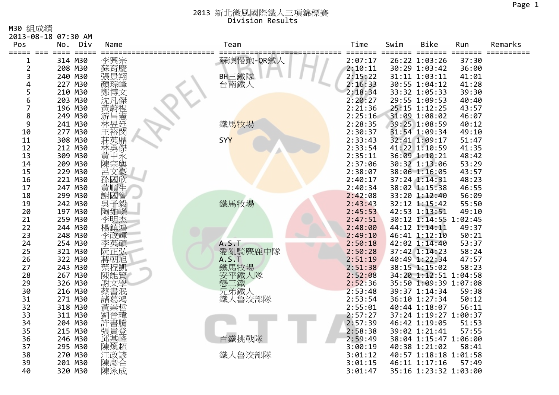M30 組成績

| Ⅳ29 《出灰》須               |                            |            |              |         |                         |                       |       |            |
|-------------------------|----------------------------|------------|--------------|---------|-------------------------|-----------------------|-------|------------|
| Pos                     | 2013-08-18 07:30 AM<br>Div |            | Team         | Time    | Swim                    | <b>Bike</b>           |       | Remarks    |
|                         | No.<br>$=$ $=$ $=$ $=$     | Name       |              | ====    | $=$ $=$ $=$ $=$ $=$ $=$ | $=$<br>====           | Run   | ========== |
| 1                       | 314 M30                    | 李興宗        | 蘇澳慢跑-QR鐵人    | 2:07:17 |                         | 26:22 1:03:26         | 37:30 |            |
| $\overline{\mathbf{c}}$ | 208 M30                    | 蘇育慶        |              | 2:10:11 |                         | 30:29 1:03:42         | 36:00 |            |
| 3                       | 240 M30                    |            | BH三鐵隊        | 2:15:22 |                         | 31:11 1:03:11         | 41:01 |            |
| 4                       | 227 M30                    | 顏琮峰        | 台南鐵人         | 2:16:33 |                         | 30:55 1:04:12         | 41:28 |            |
| 5                       | 210 M30                    | 鄭博文        |              | 2:18:34 |                         | 33:32 1:05:33         | 39:30 |            |
| 6                       | 203 M30                    |            |              | 2:20:27 |                         | 29:55 1:09:53         | 40:40 |            |
| $\overline{7}$          | 196 M30                    |            |              | 2:21:36 |                         | 25:15 1:12:25         | 43:57 |            |
| 8                       | 249 M30                    |            |              | 2:25:16 |                         | 31:09 1:08:02         | 46:07 |            |
| 9                       | 241 M30                    | 游昌憲        | 鐵馬牧場         | 2:28:35 |                         | 39:25 1:08:59         | 40:12 |            |
| 10                      | 277 M30                    | 王裕閔        |              | 2:30:37 |                         | 31:54 1:09:34         | 49:10 |            |
| 11                      | 308 M30                    | 莊英鼎        | SYY          | 2:33:43 |                         | 32:41 1:09:17         | 51:47 |            |
| 12                      | 212 M30                    | 林勇傑        |              | 2:33:54 |                         | 41:22 1:10:59         | 41:35 |            |
| 13                      | 309 M30                    | 黃中永        |              | 2:35:11 |                         | 36:09 1:10:21         | 48:42 |            |
| 14                      | 209 M30                    | 宗與<br>陳    |              | 2:37:06 |                         | 30:32 1:13:06         | 53:29 |            |
| 15                      | 229 M30                    | 呂文豪        |              | 2:38:07 |                         | 38:06 1:16:05         | 43:57 |            |
| 16                      | 221 M30                    | 孫國欣        |              | 2:40:17 |                         | 37:24 1:14:31         | 48:23 |            |
| 17                      | 247 M30                    | 黃順生        |              | 2:40:34 |                         | 38:02 1:15:38         | 46:55 |            |
| 18                      | 299 M30                    | 謝國智        |              | 2:42:08 |                         | 33:20 1:12:40         | 56:09 |            |
| 19                      | 242 M30                    |            | 鐵馬牧場         | 2:43:43 |                         | 32:12 1:15:42         | 55:50 |            |
| 20                      | 197 M30                    | 莫子毅<br>陶如嶸 |              | 2:45:53 |                         | 42:53 1:13:51         | 49:10 |            |
| 21                      | 259 M30                    | 李明杰        |              | 2:47:51 |                         | 30:12 1:14:55 1:02:45 |       |            |
| 22                      | 244 M30                    | 楊鎮鴻        |              | 2:48:00 |                         | 44:12 1:14:11         | 49:37 |            |
| 23                      | 248 M30                    | 李政輝        |              | 2:49:10 |                         | 46:41 1:12:10         | 50:21 |            |
| 24                      | 254 M30                    | 李英碩        | <b>A.S.T</b> | 2:50:18 |                         | 42:02 1:14:40         | 53:37 |            |
| 25                      | 321 M30                    | 阮正弘        | 愛亂騎麋鹿中隊      | 2:50:28 |                         | 37:42 1:14:23         | 58:24 |            |
| 26                      | 322 M30                    | 蔣朝旭        | A.S.T        | 2:51:19 |                         | 40:49 1:22:34         | 47:57 |            |
| 27                      | 243 M30                    | 葉程凱        | 鐵馬牧場         | 2:51:38 |                         | 38:15 1:15:02         | 58:23 |            |
| 28                      | 267 M30                    |            | 2鐵人隊         | 2:52:08 |                         | 34:20 1:12:51 1:04:58 |       |            |
| 29                      | 326 M30                    |            | 戀三鐵<br>兄弟鐵人  | 2:52:36 |                         | 35:50 1:09:39 1:07:08 |       |            |
| 30                      | 216 M30                    |            |              | 2:53:48 |                         | 39:37 1:14:34         | 59:38 |            |
| 31                      | 271 M30                    |            | 鐵人魯洨部隊       | 2:53:54 |                         | 36:10 1:27:34         | 50:12 |            |
| 32                      | 318 M30                    |            |              | 2:55:01 |                         | 40:44 1:18:07         | 56:11 |            |
| 33                      | 311 M30                    |            |              | 2:57:27 |                         | 37:24 1:19:27 1:00:37 |       |            |
| 34                      | 204 M30                    |            |              | 2:57:39 |                         | 46:42 1:19:05         | 51:53 |            |
| 35                      | 215 M30                    |            |              | 2:58:38 |                         | 39:02 1:21:41         | 57:55 |            |
| 36                      | 246 M30                    | 邱基峰        | 百鐵挑戰隊        | 2:59:49 |                         | 38:04 1:15:47 1:06:00 |       |            |
| 37                      | 295 M30                    | 陳煥超        |              | 3:00:19 |                         | 40:38 1:21:02         | 58:41 |            |
| 38                      | 270 M30                    | 汪政諺        | 鐵人魯洨部隊       | 3:01:12 |                         | 40:57 1:18:18 1:01:58 |       |            |
| 39                      | 201 M30                    | 陳彥合        |              | 3:01:15 |                         | 46:11 1:17:16         | 57:49 |            |
| 40                      | 320 M30                    | 陳泳成        |              | 3:01:47 |                         | 35:16 1:23:32 1:03:00 |       |            |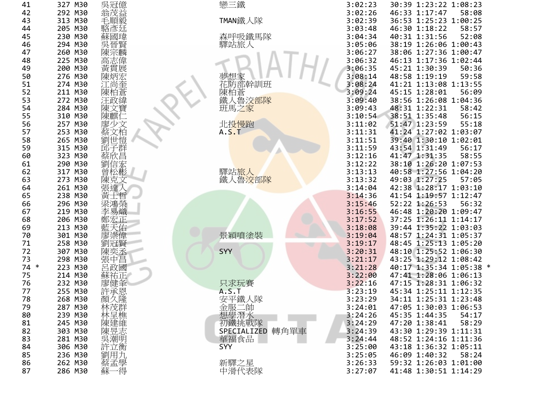| 41<br>42<br>43<br>44<br>45<br>46<br>47<br>48<br>49<br>50<br>51<br>52<br>53<br>54<br>55<br>56<br>57<br>58<br>59<br>60<br>61<br>62<br>63<br>64<br>65<br>66<br>67<br>68<br>69<br>70<br>71<br>72<br>73<br>74<br>$\ast$<br>75<br>76<br>77<br>78<br>79<br>80<br>81<br>82<br>83<br>84<br>85<br>86                                                                                                                                                                                                                                                                                                                                                         |
|----------------------------------------------------------------------------------------------------------------------------------------------------------------------------------------------------------------------------------------------------------------------------------------------------------------------------------------------------------------------------------------------------------------------------------------------------------------------------------------------------------------------------------------------------------------------------------------------------------------------------------------------------|
| 327<br>M30<br>292<br>M30<br>313<br>M30<br>205<br>M30<br>230<br>M30<br>294<br>M30<br>260<br>M30<br>225<br>M30<br>200<br>M30<br>276<br>M30<br>274<br>M30<br>211<br>M30<br>272<br>M30<br>284<br>M30<br>310<br>M30<br>257<br>M30<br>253<br>M30<br>265<br>M30<br>315<br>M30<br>323<br>M30<br>290<br>M30<br>317<br>M30<br>273<br>M30<br>261<br>M30<br>238<br>M30<br>296<br>M30<br>219<br>M30<br>206<br>M30<br>213<br>M30<br>301<br>M30<br>258<br>M30<br>307<br>M30<br>298<br>M30<br>223<br>M30<br>214<br>M30<br>232<br>M30<br>255<br>M30<br>268<br>M30<br>287<br>M30<br>239<br>M30<br>245<br>M30<br>303<br>M30<br>281<br>M30<br>306<br>M30<br>236<br>M30 |
| 誤冠億<br>安益<br>乘方<br>順毅<br>鱼禾<br>域<br>动元<br>貝<br>陳炳<br>陳<br>rl<br>陳<br>——<br>劉<br>邳<br>I<br>陳<br>t<br>Đ<br>陳<br>或<br>鱼禾<br>因<br>許<br>承<br>顏久隆<br>林茂群<br>林呈樵<br>陳建維<br>陳昱志<br>吳潮明<br>.衡<br>                                                                                                                                                                                                                                                                                                                                                                                                                                                           |

| ٠ |  |
|---|--|
|---|--|

| 只求玩賽                      |      |
|---------------------------|------|
| A.S. T                    |      |
| 安平鐵人隊                     |      |
|                           |      |
| 金服二帥                      |      |
| 想學潛水                      |      |
| 初鐵挑戰隊                     |      |
|                           |      |
| <b>SPECIALIZED</b>        | 轉角單車 |
| 華福食品                      |      |
|                           |      |
| SYY                       |      |
|                           |      |
|                           |      |
| 新驛之星                      |      |
| ᆂ `@ / N <del> :</del> #소 |      |

|                         | 327 M30 | 吳冠億                  | 戀三鐵                         | 3:02:23 | 30:39 1:23:22 1:08:23   |
|-------------------------|---------|----------------------|-----------------------------|---------|-------------------------|
| 2                       | 292 M30 | 翁茂益                  |                             | 3:02:26 | 46:33 1:17:47<br>58:08  |
| 3                       | 313 M30 | 毛順毅                  | TMAN鐵人隊                     | 3:02:39 | 36:53 1:25:23 1:00:25   |
|                         | 205 M30 | 駱彥廷                  |                             | 3:03:48 | 46:30 1:18:22<br>58:57  |
| 5                       | 230 M30 | 蘇國瑋                  | 森呼吸鐵馬隊                      | 3:04:34 | 40:31 1:31:56<br>52:08  |
| 6                       | 294 M30 | 吳晉賢                  | 驛站旅人                        | 3:05:06 | 38:19 1:26:06 1:00:43   |
|                         | 260 M30 | 陳宗麟                  |                             | 3:06:27 | 38:06 1:27:36 1:00:47   |
| 8                       | 225 M30 | 高志偉                  |                             | 3:06:32 | 46:13 1:17:36 1:02:44   |
| 9                       | 200 M30 | 黃貫展                  |                             | 3:06:35 | 45:21 1:30:39<br>50:36  |
|                         | 276 M30 |                      |                             | 3:08:14 | 48:58 1:19:19<br>59:58  |
| 0                       | 274 M30 | 陳炳宏                  | 夢想家<br>花防部幹訓班               | 3:08:24 | 41:21 1:13:08 1:13:55   |
|                         |         | 江尚奎                  |                             | 3:09:24 | 45:15 1:28:01           |
|                         | 211 M30 | 陳柏蒼                  | 陳柏蒼<br>鐵人魯 <mark>洨部隊</mark> |         | 56:09                   |
| 3                       | 272 M30 | 汪政緯                  |                             | 3:09:40 | 38:56 1:26:08 1:04:36   |
| 4                       | 284 M30 | 陳文寶                  | 班馬之家                        | 3:09:43 | 48:31 1:22:31<br>58:42  |
| 5                       | 310 M30 | 陳麒仁                  |                             | 3:10:54 | 38:51 1:35:48<br>56:15  |
| 6                       | 257 M30 | 廖少文                  | 北投慢跑                        | 3:11:02 | 51:47 1:23:59<br>55:18  |
|                         | 253 M30 | 蔡文柏<br>劉世愷           | A.S.T                       | 3:11:31 | 41:24 1:27:02 1:03:07   |
| 8                       | 265 M30 |                      |                             | 3:11:51 | 39:40 1:30:10 1:02:01   |
| 9                       | 315 M30 | 邱子群                  |                             | 3:11:59 | 43:54 1:31:49<br>56:17  |
| 0                       | 323 M30 | 蔡欣昌                  |                             | 3:12:16 | 41:47 1:31:35<br>58:55  |
|                         | 290 M30 | 劉信宏<br>曾松彬           |                             | 3:12:22 | 38:10 1:26:20 1:07:53   |
|                         | 317 M30 |                      | 驛站旅人                        | 3:13:13 | 40:58 1:27:56 1:04:20   |
| 3                       | 273 M30 | 陳克文                  | 鐵人魯洨部隊                      | 3:13:32 | 49:03 1:27:25<br>57:05  |
| 4                       | 261 M30 | 張達                   |                             | 3:14:04 | 42:38 1:28:17 1:03:10   |
| 5                       | 238 M30 |                      |                             | 3:14:36 | 41:54 1:19:57 1:12:47   |
| 6                       | 296 M30 | 梁鴻榮                  |                             | 3:15:46 | 52:22 1:26:53<br>56:32  |
|                         | 219 M30 | 李易熾                  |                             | 3:16:55 | 46:48 1:20:20 1:09:47   |
| 8                       | 206 M30 | 鄭宏正                  |                             | 3:17:52 | 37:25 1:26:11 1:14:17   |
| 9                       | 213 M30 | 天佑                   |                             | 3:18:08 | 39:44 1:35:22 1:03:03   |
| 0                       | 301 M30 | 廖崇偉                  | 景穎噴塗裝                       | 3:19:04 | 48:57 1:24:31 1:05:37   |
|                         | 258 M30 | 劉冠賢                  |                             | 3:19:17 | 48:45 1:25:13 1:05:20   |
| 2                       | 307 M30 | 陳奕丞                  | SYY                         | 3:20:31 | 48:10 1:25:52 1:06:30   |
| 3                       | 298 M30 | 張中昌                  |                             | 3:21:17 | 43:25 1:29:12 1:08:42   |
| ∗<br>4                  | 223 M30 | 呂政國                  |                             | 3:21:28 | 40:17 1:35:34 1:05:38 * |
| 5                       | 214 M30 | 穌祐正                  |                             | 3:22:00 | 47:41 1:28:06 1:06:13   |
| 6                       | 232 M30 | 廖健夆                  | 只求玩賽                        | 3:22:16 | 47:15 1:28:31 1:06:32   |
|                         | 255 M30 | 許承恩                  | A.S.T                       | 3:23:19 | 45:34 1:25:11 1:12:35   |
| 8                       | 268 M30 | 顏久隆                  |                             | 3:23:29 | 34:11 1:25:31 1:23:48   |
| 9                       | 287 M30 |                      |                             | 3:24:01 | 47:05 1:30:03 1:06:53   |
| 0                       | 239 M30 |                      |                             | 3:24:26 | 45:35 1:44:35<br>54:17  |
|                         | 245 M30 |                      |                             | 3:24:29 | 58:29<br>47:20 1:38:41  |
| 1                       | 303 M30 |                      |                             |         |                         |
| $\overline{\mathbf{c}}$ |         | 《林林陳陳吳許》<br>《茂呈建昱潮立】 | SPECIALIZED 轉角單車            | 3:24:39 | 43:30 1:29:39 1:11:31   |
| 3                       | 281 M30 |                      | 華福食品                        | 3:24:44 | 48:52 1:24:16 1:11:36   |
| 4                       | 306 M30 |                      | SYY                         | 3:25:00 | 43:18 1:36:32 1:05:11   |
| 5                       | 236 M30 | 劉用九                  |                             | 3:25:05 | 46:09 1:40:32<br>58:24  |
| 6                       | 262 M30 | -<br>蔡孟學<br>蘇一得      | 新驛之星                        | 3:26:33 | 59:32 1:26:03 1:01:00   |
| 7                       | 286 M30 |                      | 中滑代表隊                       | 3:27:07 | 41:48 1:30:51 1:14:29   |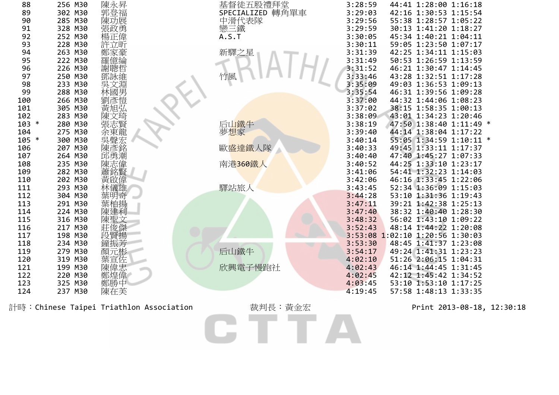| 88      | 256 M30 | 陳永昇                                     | 基督徒五股禮拜堂<br>SPECIALIZED 轉角單車<br>中滑代表隊<br> | 3:28:59 | 44:41 1:28:00 1:16:18           |
|---------|---------|-----------------------------------------|-------------------------------------------|---------|---------------------------------|
| 89      | 302 M30 |                                         |                                           | 3:29:03 | 42:16 1:30:53 1:15:54           |
| 90      | 285 M30 | 陳功展                                     |                                           | 3:29:56 | 55:38 1:28:57 1:05:22           |
| 91      | 328 M30 | 張政勇                                     |                                           | 3:29:59 | 30:13 1:41:20 1:18:27           |
| 92      | 252 M30 | 楊正偉                                     | A.S.T                                     | 3:30:05 | 45:34 1:40:21 1:04:11           |
| 93      | 228 M30 | 許立昕                                     |                                           | 3:30:11 | 59:05 1:23:50 1:07:17           |
| 94      | 263 M30 | 鄭家豪                                     | 新驛之星                                      | 3:31:39 | 42:25 1:34:11 1:15:03           |
| 95      | 222 M30 | 億綸                                      |                                           | 3:31:49 | 50:53 1:26:59 1:13:59           |
| 96      | 226 M30 | 謝聰哲                                     |                                           | 3:31:52 | 46:21 1:30:47 1:14:45           |
| 97      | 250 M30 |                                         | 竹風                                        | 3:33:46 | 43:28 1:32:51 1:17:28           |
| 98      | 233 M30 |                                         |                                           | 3:35:09 | 49:03 1:36:53 1:09:13           |
| 99      | 288 M30 |                                         |                                           | 3:35:54 | 46:31 1:39:56 1:09:28           |
| 100     | 266 M30 | i鄧吳林劉彥!<br>林劉彥!                         |                                           | 3:37:00 | 44:32 1:44:06 1:08:23           |
| 101     | 305 M30 | 黃旭弘                                     |                                           | 3:37:02 | 38:15 1:58:35 1:00:13           |
| 102     | 283 M30 | 文琦                                      |                                           | 3:38:09 | 43:01 1:34:23 1:20:46           |
| $103 *$ | 280 M30 |                                         | 后山鐵牛                                      | 3:38:19 | 47:50 1:38:40 1:11:49 *         |
| 104     | 275 M30 |                                         | 夢想家                                       | 3:39:40 | 44:14 1:38:04 1:17:22           |
| $105 *$ | 300 M30 | 吳聲宏                                     |                                           | 3:40:14 | 55:05 1:34:59 1:10:11 *         |
| 106     | 207 M30 | 陳彥銘                                     | 歐盛達鐵人隊                                    | 3:40:33 | 49:45 1:33:11 1:17:37           |
| 107     | 264 M30 | 邱勇潮                                     |                                           | 3:40:40 | 47:40 1:45:27 1:07:33           |
| 108     | 235 M30 | 陳志偉                                     | 南港360鐵人                                   | 3:40:52 | 44:25 1:33:10 1:23:17           |
| 109     | 282 M30 | 蕭銘賢                                     |                                           | 3:41:06 | 54:41 1:32:23 1:14:03           |
| 110     | 202 M30 | 啟偉                                      |                                           | 3:42:06 | 46:16 1:33:45 1:22:06           |
| 111     | 293 M30 | 儀雄                                      | 驛站旅人                                      | 3:43:45 | 52:34 1:36:09 1:15:03           |
| 112     | 304 M30 | 葉明奇                                     |                                           | 3:44:28 | 53:10 1:31:36 1:19:43           |
| 113     | 291 M30 |                                         |                                           | 3:47:11 | 39:21 1:42:38 1:25:13           |
| 114     | 224 M30 |                                         |                                           | 3:47:40 | 38:32 1:40:40 1:28:30           |
| 115     | 316 M30 |                                         |                                           | 3:48:32 | 56:02 1:43:10 1:09:22           |
| 116     | 217 M30 | 俊傑                                      |                                           | 3:52:43 | 48:14 1:44:22 1:20:08           |
| 117     | 198 M30 | 賢揚                                      |                                           |         | 3:53:08 1:02:10 1:20:56 1:30:03 |
| 118     | 234 M30 | 鐘振芳                                     |                                           | 3:53:30 | 48:45 1:41:37 1:23:08           |
| 119     | 279 M30 |                                         | 后山鐵牛                                      | 3:54:17 | 49:24 1:41:31 1:23:23           |
| 120     | 319 M30 | .<br>顏元彬<br>葉宣佐                         |                                           | 4:02:10 | 51:26 2:06:15 1:04:31           |
| 121     | 199 M30 |                                         | 欣興電子慢跑社                                   | 4:02:43 | 46:14 1:44:45 1:31:45           |
| 122     | 220 M30 | 陳偉忠<br>鄭煌偉                              |                                           | 4:02:45 | 42:12 1:45:42 1:34:52           |
| 123     | 325 M30 | 鄭勝中                                     |                                           | 4:03:45 | 53:10 1:53:10 1:17:25           |
| 124     | 237 M30 | 陳在芙                                     |                                           | 4:19:45 | 57:58 1:48:13 1:33:35           |
|         |         |                                         |                                           |         |                                 |
|         |         | 計時:Chinese Taipei Triathlon Association | 裁判長:黃金宏                                   |         | Print 2013-08-18, 12:30:18      |
|         |         |                                         |                                           |         |                                 |
|         |         |                                         |                                           |         |                                 |
|         |         |                                         |                                           |         |                                 |
|         |         |                                         |                                           |         |                                 |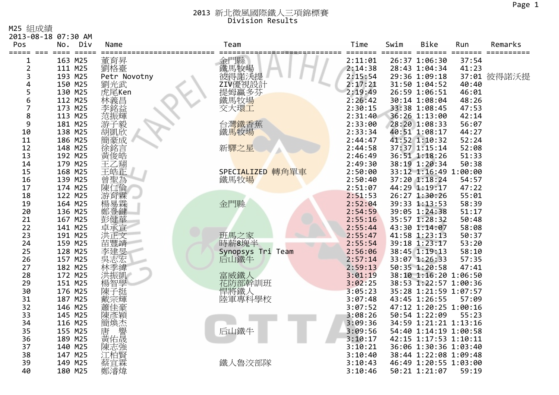M25 組成績

|                         | 2013-08-18 07:30 AM           |                   |                                  |         |      |                       |       |             |
|-------------------------|-------------------------------|-------------------|----------------------------------|---------|------|-----------------------|-------|-------------|
| Pos<br>===== === ====   | Div<br>No.<br>$=$ $=$ $=$ $=$ | Name              | Team                             | Time    | Swim | <b>Bike</b><br>===    | Run   | Remarks     |
| 1                       | 163 M25                       |                   | 金門縣<br>鐵馬牧場<br>彼得諾沃提計<br>ZIV優視設計 | 2:11:01 |      | 26:37 1:06:30         | 37:54 |             |
| $\overline{\mathbf{c}}$ | 111 M25                       | 董育昇<br>劉格臺        |                                  | 2:14:38 |      | 28:43 1:04:34         | 41:23 |             |
| 3                       | 193 M25                       | Petr Novotny      |                                  | 2:15:54 |      | 29:36 1:09:18         |       | 37:01 彼得諾沃提 |
| 4                       | 150 M25                       | 劉光武               |                                  | 2:17:21 |      | 31:50 1:04:52         | 40:40 |             |
| 5                       | 130 M25                       |                   |                                  | 2:19:49 |      | 26:59 1:06:51         | 46:01 |             |
| 6                       | 112 M25                       | 虎尾Ken<br>林義昌      | 提姆贏多芬<br>鐵馬牧場                    | 2:26:42 |      | 30:14 1:08:04         | 48:26 |             |
| $\overline{7}$          | 173 M25                       | 李銘益<br>范振輝        | 交大環工                             | 2:30:15 |      | 33:38 1:08:45         | 47:53 |             |
| 8                       | 113 M25                       |                   |                                  | 2:31:40 |      | 36:26 1:13:00         | 42:14 |             |
| 9                       | 181 M25                       | 游子毅<br>胡凱欣        |                                  | 2:33:00 |      | 28:20 1:08:33         | 56:07 |             |
| 10                      | 138 M25                       |                   | 台灣鐵香蕉<br>鐵馬牧場                    | 2:33:34 |      | 40:51 1:08:17         | 44:27 |             |
| 11                      | 186 M25                       |                   |                                  | 2:44:47 |      | 41:52 1:10:32         | 52:24 |             |
| 12                      | 148 M25                       |                   | 新驛之星                             | 2:44:58 |      | 37:37 1:15:14         | 52:08 |             |
| 13                      | 192 M25                       |                   |                                  | 2:46:49 |      | 36:51 1:18:26         | 51:33 |             |
| 14                      | 179 M25                       | <b>简徐黃王</b>       |                                  | 2:49:30 |      | 38:19 1:20:34         | 50:38 |             |
| 15                      | 168 M25                       | 王皓正               | SPECIALIZED 轉角單車                 | 2:50:00 |      | 33:12 1:16:49 1:00:00 |       |             |
| 16                      | 139 M25                       |                   | 鐵馬牧場                             | 2:50:40 |      | 37:20 1:18:24         | 54:57 |             |
| 17                      | 174 M25                       | 曾聖為<br>陳仁倫        |                                  | 2:51:07 |      | 44:29 1:19:17         | 47:22 |             |
| 18                      | 122 M25                       | 游育霖               |                                  | 2:51:53 |      | 26:27 1:30:26         | 55:01 |             |
| 19                      | 164 M25                       | 楊易霖               | 金門縣                              | 2:52:04 |      | 39:33 1:13:53         | 58:39 |             |
| 20                      | 136 M25                       | 鄭登鍵               |                                  | 2:54:59 |      | 39:05 1:24:38         | 51:17 |             |
| 21                      | 167 M25                       | 彭健華               |                                  | 2:55:16 |      | 35:57 1:28:32         | 50:48 |             |
| 22                      | 141 M25                       | 卓承宣               |                                  | 2:55:44 |      | 43:30 1:14:07         | 58:08 |             |
| 23                      | 191 M25                       | 洪正文               | 班馬之家                             | 2:55:47 |      | 41:58 1:23:13         | 50:37 |             |
| 24                      | 159 M25                       | 苗豐靖               | 時薪8塊半                            | 2:55:54 |      | 39:18 1:23:17         | 53:20 |             |
| 25                      | 128 M25                       | 李建旻               | Synopsys Tri Team                | 2:56:06 |      | 38:45 1:19:13         | 58:10 |             |
| 26                      | 157 M25                       |                   | 后山鐵牛                             | 2:57:14 |      | 33:07 1:26:33         | 57:35 |             |
| 27                      | 182 M25                       | 林季緯               |                                  | 2:59:13 |      | 50:35 1:20:58         | 47:41 |             |
| 28                      | 172 M25                       | 洪振凱               | 富威鐵人                             | 3:01:19 |      | 38:10 1:16:20 1:06:50 |       |             |
| 29                      | 151 M25                       | 楊智學               |                                  | 3:02:25 |      | 38:53 1:22:57 1:00:36 |       |             |
| 30                      | 176 M25                       | 陳子挺               | 花防部幹訓班<br>悍將鐵人                   | 3:05:23 |      | 35:28 1:21:59 1:07:57 |       |             |
| 31                      | 187 M25                       | 戴宗輝               | 陸軍專科學校                           | 3:07:48 |      | 43:45 1:26:55         | 57:09 |             |
| 32                      | 146 M25                       | 蕭佳豪               |                                  | 3:07:52 |      | 47:12 1:20:25 1:00:16 |       |             |
| 33                      | 145 M25                       | 陳彥穎               |                                  | 3:08:26 |      | 50:54 1:22:09         | 55:23 |             |
| 34                      | 116 M25                       |                   |                                  | 3:09:36 |      | 34:59 1:21:21 1:13:16 |       |             |
| 35                      | 155 M25                       |                   | 后山鐵牛                             | 3:09:56 |      | 54:40 1:14:19 1:00:58 |       |             |
| 36                      | 189 M25                       |                   |                                  | 3:10:17 |      | 42:15 1:17:53 1:10:11 |       |             |
| 37                      | 140 M25                       | "簡唐黃陳」<br>[焕] 佑志: |                                  | 3:10:21 |      | 36:06 1:30:36 1:03:40 |       |             |
| 38                      | 147 M25                       | 江柏賢               |                                  | 3:10:40 |      | 38:44 1:22:08 1:09:48 |       |             |
| 39                      | 149 M25                       | 蔡宜霖               | 鐵人魯洨部隊                           | 3:10:43 |      | 46:49 1:20:55 1:03:00 |       |             |
| 40                      | 180 M25                       | 鄭濬煒               |                                  | 3:10:46 |      | 50:21 1:21:07         | 59:19 |             |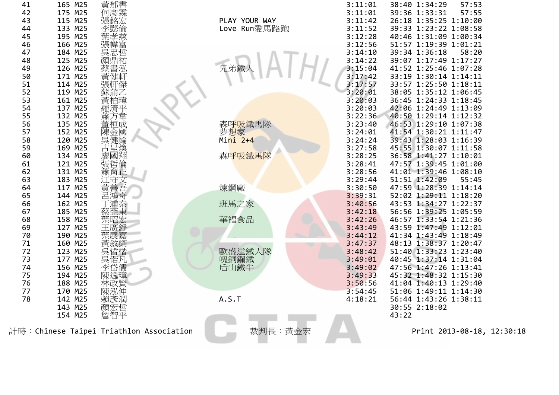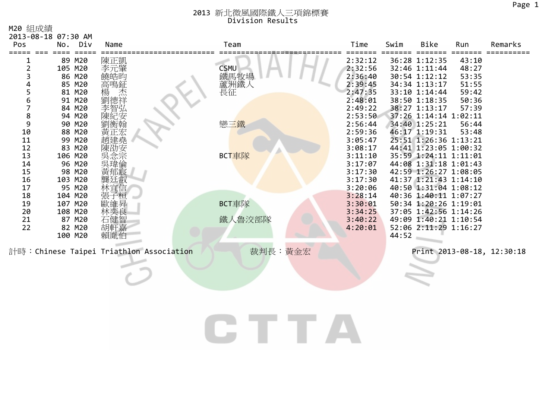|  | M20 組成績 |
|--|---------|
|--|---------|

| 2013-08-18 07:30 AM<br>Pos                                                                                    | No. Div                                                                                                                                                                                                                        | Name                                                                           | Team                                                                  | Time                                                                                                                                                                                                                                           | Swim  | Bike                                                                                                                                                                                                                                                                                                                                                                                                                                                                                       | Run                                                                           | Remarks                    |
|---------------------------------------------------------------------------------------------------------------|--------------------------------------------------------------------------------------------------------------------------------------------------------------------------------------------------------------------------------|--------------------------------------------------------------------------------|-----------------------------------------------------------------------|------------------------------------------------------------------------------------------------------------------------------------------------------------------------------------------------------------------------------------------------|-------|--------------------------------------------------------------------------------------------------------------------------------------------------------------------------------------------------------------------------------------------------------------------------------------------------------------------------------------------------------------------------------------------------------------------------------------------------------------------------------------------|-------------------------------------------------------------------------------|----------------------------|
| 2<br>3<br>5<br>6<br>7<br>8<br>9<br>10<br>11<br>12<br>13<br>14<br>15<br>16<br>17<br>18<br>19<br>20<br>21<br>22 | 89 M20<br>105 M20<br>86 M20<br>85 M20<br>81 M20<br>91 M20<br>84 M20<br>94 M20<br>90 M20<br>88 M20<br>99 M20<br>83 M20<br>106 M20<br>96 M20<br>98 M20<br>103 M20<br>95 M20<br>104 M20<br>107 M20<br>108 M20<br>87 M20<br>82 M20 | 陳正凱<br>李元肇<br>饒皓昀<br>高鳴鉦<br>衡翰<br>黃正宏<br>趙建堯<br>陳劭安<br>吳瑋倫<br>郁宸<br>石健智<br>胡軒嘉 | <b>CSMU</b><br>ご、馬牧場<br>蘆洲鐵人<br>長征<br>戀三鐵<br>BCT車隊<br>BCT車隊<br>鐵人魯洨部隊 | 2:32:12<br>2:32:56<br>2:36:40<br>2:39:45<br>2:47:35<br>2:48:01<br>2:49:22<br>2:53:50<br>2:56:44<br>2:59:36<br>3:05:47<br>3:08:17<br>3:11:10<br>3:17:07<br>3:17:30<br>3:17:30<br>3:20:06<br>3:28:14<br>3:30:01<br>3:34:25<br>3:40:22<br>4:20:01 |       | 36:28 1:12:35<br>32:46 1:11:44<br>30:54 1:12:12<br>34:34 1:13:17<br>33:10 1:14:44<br>38:50 1:18:35<br>38:27 1:13:17<br>37:26 1:14:14 1:02:11<br>34:40 1:25:21<br>46:17 1:19:31<br>25:51 1:26:36 1:13:21<br>44:41 1:23:05 1:00:32<br>35:59 1:24:11 1:11:01<br>44:08 1:31:18 1:01:43<br>42:59 1:26:27 1:08:05<br>41:37 1:21:43 1:14:10<br>40:50 1:31:04 1:08:12<br>40:36 1:40:11 1:07:27<br>50:34 1:20:26 1:19:01<br>37:05 1:42:56 1:14:26<br>49:09 1:40:21 1:10:54<br>52:06 2:11:29 1:16:27 | 43:10<br>48:27<br>53:35<br>51:55<br>59:42<br>50:36<br>57:39<br>56:44<br>53:48 |                            |
|                                                                                                               | 100 M20                                                                                                                                                                                                                        | 賴胤伯<br>計時: Chinese Taipei Triathlon Association                                | 裁判長:黃金宏                                                               |                                                                                                                                                                                                                                                | 44:52 |                                                                                                                                                                                                                                                                                                                                                                                                                                                                                            |                                                                               | Print 2013-08-18, 12:30:18 |